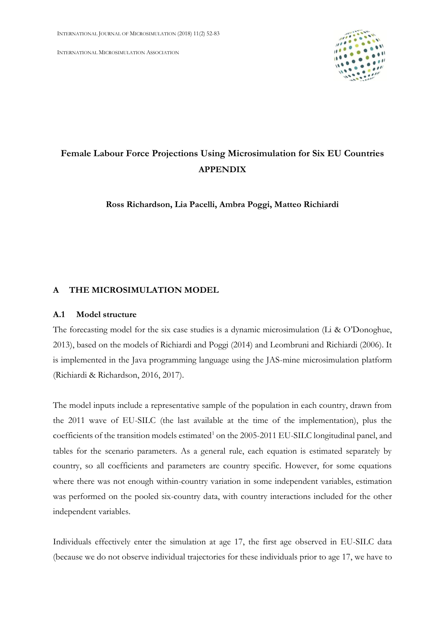INTERNATIONAL MICROSIMULATION ASSOCIATION



# **Female Labour Force Projections Using Microsimulation for Six EU Countries APPENDIX**

**Ross Richardson, Lia Pacelli, Ambra Poggi, Matteo Richiardi**

## **A THE MICROSIMULATION MODEL**

#### **A.1 Model structure**

The forecasting model for the six case studies is a dynamic microsimulation (Li & O'Donoghue, 2013), based on the models of Richiardi and Poggi (2014) and Leombruni and Richiardi (2006). It is implemented in the Java programming language using the JAS-mine microsimulation platform (Richiardi & Richardson, 2016, 2017).

The model inputs include a representative sample of the population in each country, drawn from the 2011 wave of EU-SILC (the last available at the time of the implementation), plus the coefficients of the transition models estimated<sup>1</sup> on the 2005-2011 EU-SILC longitudinal panel, and tables for the scenario parameters. As a general rule, each equation is estimated separately by country, so all coefficients and parameters are country specific. However, for some equations where there was not enough within-country variation in some independent variables, estimation was performed on the pooled six-country data, with country interactions included for the other independent variables.

Individuals effectively enter the simulation at age 17, the first age observed in EU-SILC data (because we do not observe individual trajectories for these individuals prior to age 17, we have to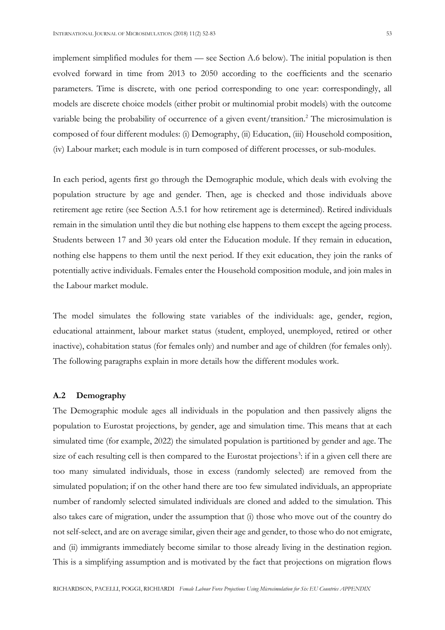implement simplified modules for them — see Section A.6 below). The initial population is then evolved forward in time from 2013 to 2050 according to the coefficients and the scenario parameters. Time is discrete, with one period corresponding to one year: correspondingly, all models are discrete choice models (either probit or multinomial probit models) with the outcome variable being the probability of occurrence of a given event/transition.<sup>2</sup> The microsimulation is composed of four different modules: (i) Demography, (ii) Education, (iii) Household composition, (iv) Labour market; each module is in turn composed of different processes, or sub-modules.

In each period, agents first go through the Demographic module, which deals with evolving the population structure by age and gender. Then, age is checked and those individuals above retirement age retire (see Section A.5.1 for how retirement age is determined). Retired individuals remain in the simulation until they die but nothing else happens to them except the ageing process. Students between 17 and 30 years old enter the Education module. If they remain in education, nothing else happens to them until the next period. If they exit education, they join the ranks of potentially active individuals. Females enter the Household composition module, and join males in the Labour market module.

The model simulates the following state variables of the individuals: age, gender, region, educational attainment, labour market status (student, employed, unemployed, retired or other inactive), cohabitation status (for females only) and number and age of children (for females only). The following paragraphs explain in more details how the different modules work.

### **A.2 Demography**

The Demographic module ages all individuals in the population and then passively aligns the population to Eurostat projections, by gender, age and simulation time. This means that at each simulated time (for example, 2022) the simulated population is partitioned by gender and age. The size of each resulting cell is then compared to the Eurostat projections<sup>3</sup>: if in a given cell there are too many simulated individuals, those in excess (randomly selected) are removed from the simulated population; if on the other hand there are too few simulated individuals, an appropriate number of randomly selected simulated individuals are cloned and added to the simulation. This also takes care of migration, under the assumption that (i) those who move out of the country do not self-select, and are on average similar, given their age and gender, to those who do not emigrate, and (ii) immigrants immediately become similar to those already living in the destination region. This is a simplifying assumption and is motivated by the fact that projections on migration flows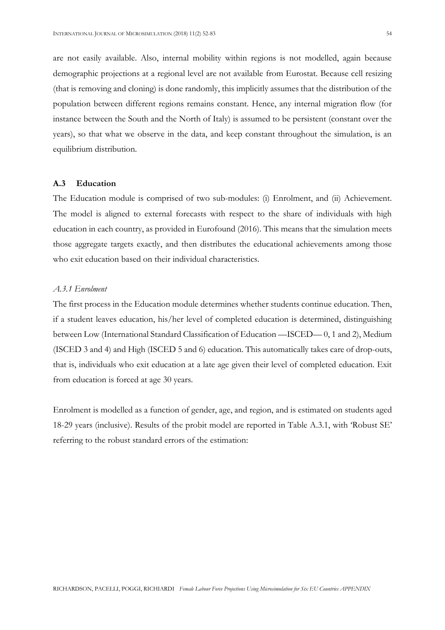are not easily available. Also, internal mobility within regions is not modelled, again because demographic projections at a regional level are not available from Eurostat. Because cell resizing (that is removing and cloning) is done randomly, this implicitly assumes that the distribution of the population between different regions remains constant. Hence, any internal migration flow (for instance between the South and the North of Italy) is assumed to be persistent (constant over the years), so that what we observe in the data, and keep constant throughout the simulation, is an equilibrium distribution.

## **A.3 Education**

The Education module is comprised of two sub-modules: (i) Enrolment, and (ii) Achievement. The model is aligned to external forecasts with respect to the share of individuals with high education in each country, as provided in Eurofound (2016). This means that the simulation meets those aggregate targets exactly, and then distributes the educational achievements among those who exit education based on their individual characteristics.

## *A.3.1 Enrolment*

The first process in the Education module determines whether students continue education. Then, if a student leaves education, his/her level of completed education is determined, distinguishing between Low (International Standard Classification of Education —ISCED— 0, 1 and 2), Medium (ISCED 3 and 4) and High (ISCED 5 and 6) education. This automatically takes care of drop-outs, that is, individuals who exit education at a late age given their level of completed education. Exit from education is forced at age 30 years.

Enrolment is modelled as a function of gender, age, and region, and is estimated on students aged 18-29 years (inclusive). Results of the probit model are reported in Table A.3.1, with 'Robust SE' referring to the robust standard errors of the estimation: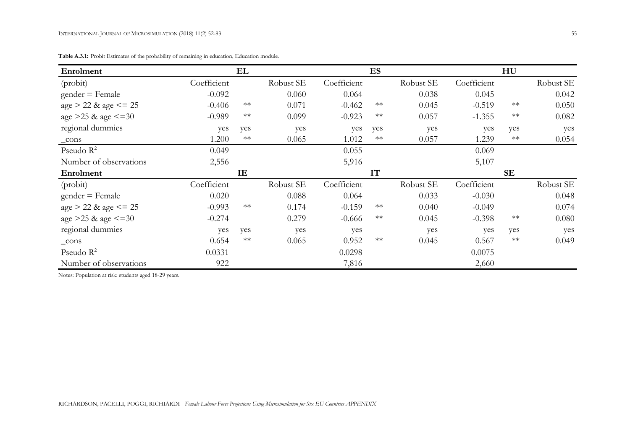| Enrolment                 |             | EL         |           |             | ES   |           |             | HU        |           |
|---------------------------|-------------|------------|-----------|-------------|------|-----------|-------------|-----------|-----------|
| (probit)                  | Coefficient |            | Robust SE | Coefficient |      | Robust SE | Coefficient |           | Robust SE |
| $gender = Female$         | $-0.092$    |            | 0.060     | 0.064       |      | 0.038     | 0.045       |           | 0.042     |
| $age > 22$ & $age \le 25$ | $-0.406$    | $**$       | 0.071     | $-0.462$    | $**$ | 0.045     | $-0.519$    | $**$      | 0.050     |
| age $>25$ & age $\leq 30$ | $-0.989$    | $**$       | 0.099     | $-0.923$    | $**$ | 0.057     | $-1.355$    | $**$      | 0.082     |
| regional dummies          | yes         | yes        | yes       | yes         | yes  | yes       | yes         | yes       | yes       |
| $_{\rm cons}$             | 1.200       | $\ast\ast$ | 0.065     | 1.012       | $**$ | 0.057     | 1.239       | $**$      | 0.054     |
| Pseudo $R^2$              | 0.049       |            |           | 0.055       |      |           | 0.069       |           |           |
| Number of observations    | 2,556       |            |           | 5,916       |      |           | 5,107       |           |           |
| Enrolment                 |             | IE         |           |             | IT   |           |             | <b>SE</b> |           |
| (probit)                  | Coefficient |            | Robust SE | Coefficient |      | Robust SE | Coefficient |           | Robust SE |
| $gender = Female$         | 0.020       |            | 0.088     | 0.064       |      | 0.033     | $-0.030$    |           | 0.048     |
| $age > 22$ & age <= 25    | $-0.993$    | $**$       | 0.174     | $-0.159$    | $**$ | 0.040     | $-0.049$    |           | 0.074     |
| age $>25$ & age $\leq=30$ | $-0.274$    |            | 0.279     | $-0.666$    | $**$ | 0.045     | $-0.398$    | $**$      | 0.080     |
| regional dummies          | yes         | yes        | yes       | yes         |      | yes       | yes         | yes       | yes       |
| $_{\rm cons}$             | 0.654       | $**$       | 0.065     | 0.952       | $**$ | 0.045     | 0.567       | $**$      | 0.049     |
| Pseudo $R^2$              | 0.0331      |            |           | 0.0298      |      |           | 0.0075      |           |           |
| Number of observations    | 922         |            |           | 7,816       |      |           | 2,660       |           |           |

**Table A.3.1:** Probit Estimates of the probability of remaining in education, Education module.

Notes: Population at risk: students aged 18-29 years.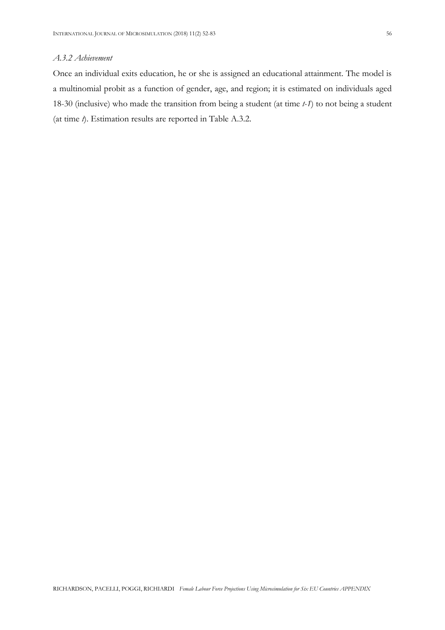## *A.3.2 Achievement*

Once an individual exits education, he or she is assigned an educational attainment. The model is a multinomial probit as a function of gender, age, and region; it is estimated on individuals aged 18-30 (inclusive) who made the transition from being a student (at time *t-1*) to not being a student (at time *t*). Estimation results are reported in Table A.3.2.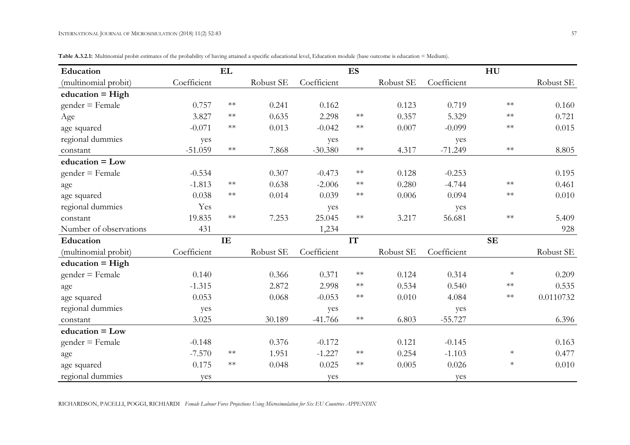|  | Table A.3.2.1: Multinomial probit estimates of the probability of having attained a specific educational level, Education module (base outcome is education = Medium). |  |  |  |
|--|------------------------------------------------------------------------------------------------------------------------------------------------------------------------|--|--|--|
|  |                                                                                                                                                                        |  |  |  |

| Education              |             | EL         |           |             | ES         |           |             | HU        |           |
|------------------------|-------------|------------|-----------|-------------|------------|-----------|-------------|-----------|-----------|
| (multinomial probit)   | Coefficient |            | Robust SE | Coefficient |            | Robust SE | Coefficient |           | Robust SE |
| education = $High$     |             |            |           |             |            |           |             |           |           |
| $gender = Female$      | 0.757       | $**$       | 0.241     | 0.162       |            | 0.123     | 0.719       | $**$      | 0.160     |
| Age                    | 3.827       | $**$       | 0.635     | 2.298       | $\ast\ast$ | 0.357     | 5.329       | $**$      | 0.721     |
| age squared            | $-0.071$    | $\ast\ast$ | 0.013     | $-0.042$    | $**$       | 0.007     | $-0.099$    | $**$      | 0.015     |
| regional dummies       | yes         |            |           | yes         |            |           | yes         |           |           |
| constant               | $-51.059$   | $\ast\ast$ | 7.868     | $-30.380$   | $\ast\ast$ | 4.317     | $-71.249$   | $**$      | 8.805     |
| $education = Low$      |             |            |           |             |            |           |             |           |           |
| $gender = Female$      | $-0.534$    |            | 0.307     | $-0.473$    | $\ast\ast$ | 0.128     | $-0.253$    |           | 0.195     |
| age                    | $-1.813$    | $\ast\ast$ | 0.638     | $-2.006$    | $\ast\ast$ | 0.280     | $-4.744$    | $**$      | 0.461     |
| age squared            | 0.038       | $**$       | 0.014     | 0.039       | $\ast\ast$ | 0.006     | 0.094       | $**$      | 0.010     |
| regional dummies       | Yes         |            |           | yes         |            |           | yes         |           |           |
| constant               | 19.835      | $**$       | 7.253     | 25.045      | $**$       | 3.217     | 56.681      | $**$      | 5.409     |
| Number of observations | 431         |            |           | 1,234       |            |           |             |           | 928       |
| Education              |             | IE         |           |             | <b>IT</b>  |           |             | <b>SE</b> |           |
| (multinomial probit)   | Coefficient |            | Robust SE | Coefficient |            | Robust SE | Coefficient |           | Robust SE |
| $education = High$     |             |            |           |             |            |           |             |           |           |
| $gender = Female$      | 0.140       |            | 0.366     | 0.371       | $\ast\ast$ | 0.124     | 0.314       | $\ast$    | 0.209     |
| age                    | $-1.315$    |            | 2.872     | 2.998       | $\ast\ast$ | 0.534     | 0.540       | $**$      | 0.535     |
| age squared            | 0.053       |            | 0.068     | $-0.053$    | $\ast\ast$ | 0.010     | 4.084       | $**$      | 0.0110732 |
| regional dummies       | yes         |            |           | yes         |            |           | yes         |           |           |
| constant               | 3.025       |            | 30.189    | $-41.766$   | $\ast\ast$ | 6.803     | $-55.727$   |           | 6.396     |
| $education = Low$      |             |            |           |             |            |           |             |           |           |
| $gender = Female$      | $-0.148$    |            | 0.376     | $-0.172$    |            | 0.121     | $-0.145$    |           | 0.163     |
| age                    | $-7.570$    | $**$       | 1.951     | $-1.227$    | $\ast\ast$ | 0.254     | $-1.103$    | $\ast$    | 0.477     |
| age squared            | 0.175       | $**$       | 0.048     | 0.025       | $**$       | 0.005     | 0.026       | $\ast$    | 0.010     |
| regional dummies       | yes         |            |           | yes         |            |           | yes         |           |           |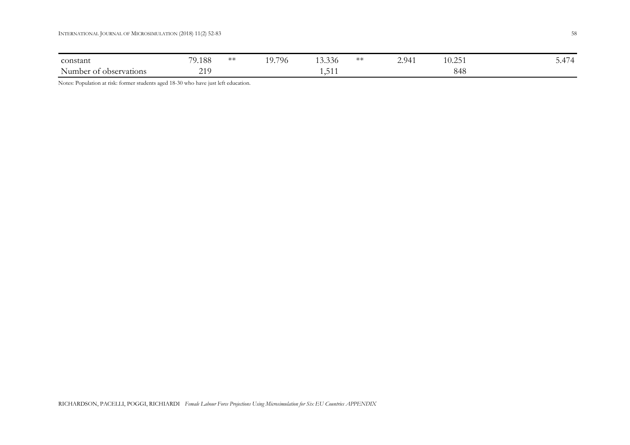| constant                                 | 79.188           | ⋇⋇ | 19.796 | $\sqrt{2}$<br>13.330 | ∗∗ | 2.941 | 10 つに<br>ل کی ل | $\overline{1}$<br>J. |
|------------------------------------------|------------------|----|--------|----------------------|----|-------|-----------------|----------------------|
| $\lambda$ T<br>Number of<br>observations | 210<br>$\sim$ 1. |    |        | $-4$<br>.            |    |       | 848             |                      |

Notes: Population at risk: former students aged 18-30 who have just left education.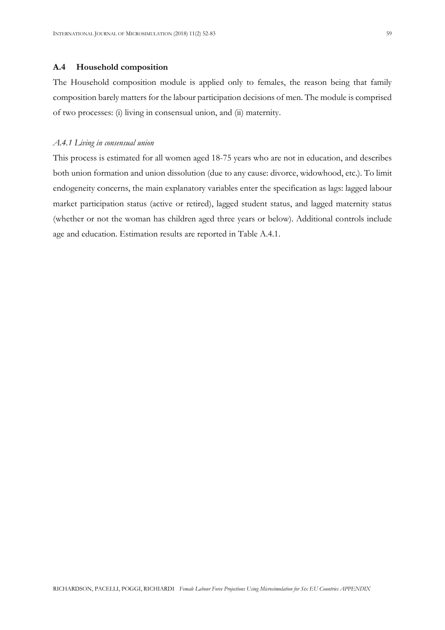### **A.4 Household composition**

The Household composition module is applied only to females, the reason being that family composition barely matters for the labour participation decisions of men. The module is comprised of two processes: (i) living in consensual union, and (ii) maternity.

### *A.4.1 Living in consensual union*

This process is estimated for all women aged 18-75 years who are not in education, and describes both union formation and union dissolution (due to any cause: divorce, widowhood, etc.). To limit endogeneity concerns, the main explanatory variables enter the specification as lags: lagged labour market participation status (active or retired), lagged student status, and lagged maternity status (whether or not the woman has children aged three years or below). Additional controls include age and education. Estimation results are reported in Table A.4.1.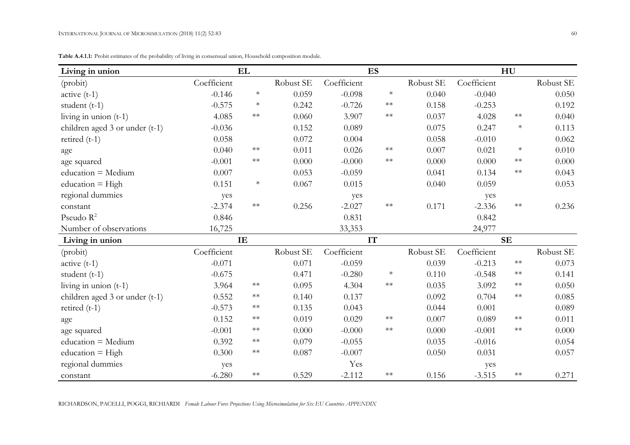| Living in union                |             | EL         |           |             | <b>ES</b>  |           |             | HU         |           |
|--------------------------------|-------------|------------|-----------|-------------|------------|-----------|-------------|------------|-----------|
| (probit)                       | Coefficient |            | Robust SE | Coefficient |            | Robust SE | Coefficient |            | Robust SE |
| $active(t-1)$                  | $-0.146$    | $\ast$     | 0.059     | $-0.098$    | $\ast$     | 0.040     | $-0.040$    |            | 0.050     |
| student $(t-1)$                | $-0.575$    | $\ast$     | 0.242     | $-0.726$    | $\ast\ast$ | 0.158     | $-0.253$    |            | 0.192     |
| living in union $(t-1)$        | 4.085       | $\ast\ast$ | 0.060     | 3.907       | $\ast\ast$ | 0.037     | 4.028       | $\ast\ast$ | 0.040     |
| children aged 3 or under (t-1) | $-0.036$    |            | 0.152     | 0.089       |            | 0.075     | 0.247       | $\ast$     | 0.113     |
| retired $(t-1)$                | 0.058       |            | 0.072     | 0.004       |            | 0.058     | $-0.010$    |            | 0.062     |
| age                            | 0.040       | $**$       | 0.011     | 0.026       | $\ast\ast$ | 0.007     | 0.021       | $\ast$     | 0.010     |
| age squared                    | $-0.001$    | $**$       | 0.000     | $-0.000$    | $\ast\ast$ | 0.000     | 0.000       | $\ast\ast$ | 0.000     |
| education = Medium             | 0.007       |            | 0.053     | $-0.059$    |            | 0.041     | 0.134       | $\ast\ast$ | 0.043     |
| $education = High$             | 0.151       | $\ast$     | 0.067     | 0.015       |            | 0.040     | 0.059       |            | 0.053     |
| regional dummies               | yes         |            |           | yes         |            |           | yes         |            |           |
| constant                       | $-2.374$    | $**$       | 0.256     | $-2.027$    | $\ast\ast$ | 0.171     | $-2.336$    | $\ast\ast$ | 0.236     |
| Pseudo $R^2$                   | 0.846       |            |           | 0.831       |            |           | 0.842       |            |           |
| Number of observations         | 16,725      |            |           | 33,353      |            |           | 24,977      |            |           |
| Living in union                |             | IE         |           |             | IT         |           |             | <b>SE</b>  |           |
| (probit)                       | Coefficient |            | Robust SE | Coefficient |            | Robust SE | Coefficient |            | Robust SE |
| $active(t-1)$                  | $-0.071$    |            | 0.071     | $-0.059$    |            | 0.039     | $-0.213$    | $\ast\ast$ | 0.073     |
| student $(t-1)$                | $-0.675$    |            | 0.471     | $-0.280$    | $\ast$     | 0.110     | $-0.548$    | $\ast\ast$ | 0.141     |
| living in union $(t-1)$        | 3.964       | $**$       | 0.095     | 4.304       | $\ast\ast$ | 0.035     | 3.092       | $\ast\ast$ | 0.050     |
| children aged 3 or under (t-1) | 0.552       | $\ast\ast$ | 0.140     | 0.137       |            | 0.092     | 0.704       | $\ast\ast$ | 0.085     |
| retired $(t-1)$                | $-0.573$    | $**$       | 0.135     | 0.043       |            | 0.044     | 0.001       |            | 0.089     |
| age                            | 0.152       | $\ast\ast$ | 0.019     | 0.029       | $\ast\ast$ | 0.007     | 0.089       | $\ast\ast$ | 0.011     |
| age squared                    | $-0.001$    | $**$       | 0.000     | $-0.000$    | $**$       | 0.000     | $-0.001$    | $\ast\ast$ | 0.000     |
| education = Medium             | 0.392       | $**$       | 0.079     | $-0.055$    |            | 0.035     | $-0.016$    |            | 0.054     |
| education $=$ High             | 0.300       | $\ast\ast$ | 0.087     | $-0.007$    |            | 0.050     | 0.031       |            | 0.057     |
| regional dummies               | yes         |            |           | Yes         |            |           | yes         |            |           |
| constant                       | $-6.280$    | $**$       | 0.529     | $-2.112$    | $\ast\ast$ | 0.156     | $-3.515$    | $\ast\ast$ | 0.271     |

**Table A.4.1.1:** Probit estimates of the probability of living in consensual union, Household composition module.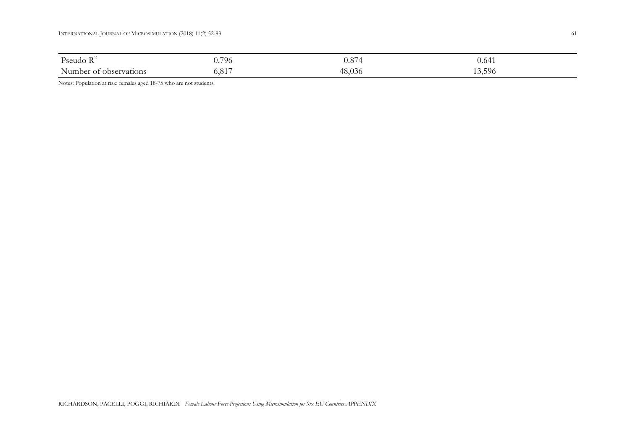| Pseudo $R^2$           | 796                    | 0.87    | 0.64 <sub>1</sub> |
|------------------------|------------------------|---------|-------------------|
| Number of observations | Q <sub>1</sub><br>0.01 | -48,036 | 3,596             |

Notes: Population at risk: females aged 18-75 who are not students.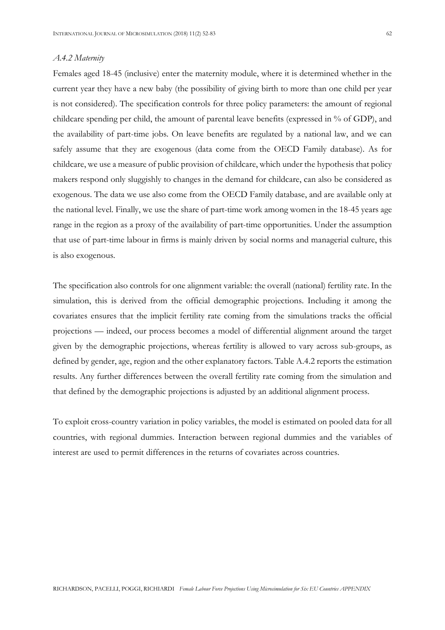#### *A.4.2 Maternity*

Females aged 18-45 (inclusive) enter the maternity module, where it is determined whether in the current year they have a new baby (the possibility of giving birth to more than one child per year is not considered). The specification controls for three policy parameters: the amount of regional childcare spending per child, the amount of parental leave benefits (expressed in % of GDP), and the availability of part-time jobs. On leave benefits are regulated by a national law, and we can safely assume that they are exogenous (data come from the OECD Family database). As for childcare, we use a measure of public provision of childcare, which under the hypothesis that policy makers respond only sluggishly to changes in the demand for childcare, can also be considered as exogenous. The data we use also come from the OECD Family database, and are available only at the national level. Finally, we use the share of part-time work among women in the 18-45 years age range in the region as a proxy of the availability of part-time opportunities. Under the assumption that use of part-time labour in firms is mainly driven by social norms and managerial culture, this is also exogenous.

The specification also controls for one alignment variable: the overall (national) fertility rate. In the simulation, this is derived from the official demographic projections. Including it among the covariates ensures that the implicit fertility rate coming from the simulations tracks the official projections — indeed, our process becomes a model of differential alignment around the target given by the demographic projections, whereas fertility is allowed to vary across sub-groups, as defined by gender, age, region and the other explanatory factors. Table A.4.2 reports the estimation results. Any further differences between the overall fertility rate coming from the simulation and that defined by the demographic projections is adjusted by an additional alignment process.

To exploit cross-country variation in policy variables, the model is estimated on pooled data for all countries, with regional dummies. Interaction between regional dummies and the variables of interest are used to permit differences in the returns of covariates across countries.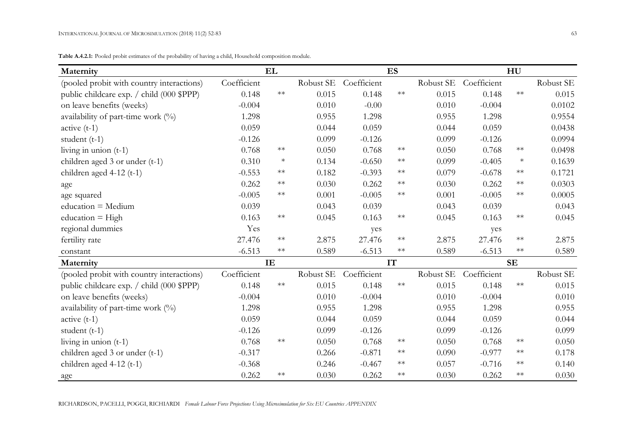**Table A.4.2.1:** Pooled probit estimates of the probability of having a child, Household composition module.

| Maternity                                     |             | EL         |           |             | <b>ES</b>  |           |             | HU         |           |
|-----------------------------------------------|-------------|------------|-----------|-------------|------------|-----------|-------------|------------|-----------|
| (pooled probit with country interactions)     | Coefficient |            | Robust SE | Coefficient |            | Robust SE | Coefficient |            | Robust SE |
| public childcare exp. / child (000 \$PPP)     | 0.148       | $\ast\ast$ | 0.015     | 0.148       | $**$       | 0.015     | 0.148       | $\ast\ast$ | 0.015     |
| on leave benefits (weeks)                     | $-0.004$    |            | 0.010     | $-0.00$     |            | 0.010     | $-0.004$    |            | 0.0102    |
| availability of part-time work $\binom{0}{0}$ | 1.298       |            | 0.955     | 1.298       |            | 0.955     | 1.298       |            | 0.9554    |
| $active (t-1)$                                | 0.059       |            | 0.044     | 0.059       |            | 0.044     | 0.059       |            | 0.0438    |
| student $(t-1)$                               | $-0.126$    |            | 0.099     | $-0.126$    |            | 0.099     | $-0.126$    |            | 0.0994    |
| living in union $(t-1)$                       | 0.768       | $**$       | 0.050     | 0.768       | $\ast\ast$ | 0.050     | 0.768       | $\ast\ast$ | 0.0498    |
| children aged 3 or under (t-1)                | 0.310       | $\ast$     | 0.134     | $-0.650$    | $**$       | 0.099     | $-0.405$    | $\ast$     | 0.1639    |
| children aged $4-12$ (t-1)                    | $-0.553$    | $**$       | 0.182     | $-0.393$    | $\ast\ast$ | 0.079     | $-0.678$    | $**$       | 0.1721    |
| age                                           | 0.262       | $\ast\ast$ | 0.030     | 0.262       | $\ast\ast$ | 0.030     | 0.262       | $\ast\ast$ | 0.0303    |
| age squared                                   | $-0.005$    | $**$       | 0.001     | $-0.005$    | $**$       | 0.001     | $-0.005$    | $**$       | 0.0005    |
| $education = Medium$                          | 0.039       |            | 0.043     | 0.039       |            | 0.043     | 0.039       |            | 0.043     |
| $education = High$                            | 0.163       | $\ast\ast$ | 0.045     | 0.163       | $\ast\ast$ | 0.045     | 0.163       | $**$       | 0.045     |
| regional dummies                              | Yes         |            |           | yes         |            |           | yes         |            |           |
| fertility rate                                | 27.476      | $**$       | 2.875     | 27.476      | $\ast\ast$ | 2.875     | 27.476      | $\ast\ast$ | 2.875     |
| constant                                      | $-6.513$    | $\ast\ast$ | 0.589     | $-6.513$    | $\ast\ast$ | 0.589     | $-6.513$    | $\ast\ast$ | 0.589     |
| Maternity                                     |             | IE         |           |             | IT         |           | <b>SE</b>   |            |           |
| (pooled probit with country interactions)     | Coefficient |            | Robust SE | Coefficient |            | Robust SE | Coefficient |            | Robust SE |
| public childcare exp. / child (000 \$PPP)     | 0.148       | $\ast\ast$ | 0.015     | 0.148       | $\ast\ast$ | 0.015     | 0.148       | $\ast\ast$ | 0.015     |
| on leave benefits (weeks)                     | $-0.004$    |            | 0.010     | $-0.004$    |            | 0.010     | $-0.004$    |            | 0.010     |
| availability of part-time work (%)            | 1.298       |            | 0.955     | 1.298       |            | 0.955     | 1.298       |            | 0.955     |
| $active(t-1)$                                 | 0.059       |            | 0.044     | 0.059       |            | 0.044     | 0.059       |            | 0.044     |
| student $(t-1)$                               | $-0.126$    |            | 0.099     | $-0.126$    |            | 0.099     | $-0.126$    |            | 0.099     |
| living in union $(t-1)$                       | 0.768       | $\ast\ast$ | 0.050     | 0.768       | $**$       | 0.050     | 0.768       | $\ast\ast$ | 0.050     |
| children aged 3 or under (t-1)                | $-0.317$    |            | 0.266     | $-0.871$    | $\ast\ast$ | 0.090     | $-0.977$    | $\ast\ast$ | 0.178     |
| children aged $4-12$ (t-1)                    | $-0.368$    |            | 0.246     | $-0.467$    | $**$       | 0.057     | $-0.716$    | $\ast\ast$ | 0.140     |
| age                                           | 0.262       | $**$       | 0.030     | 0.262       | $**$       | 0.030     | 0.262       | $**$       | 0.030     |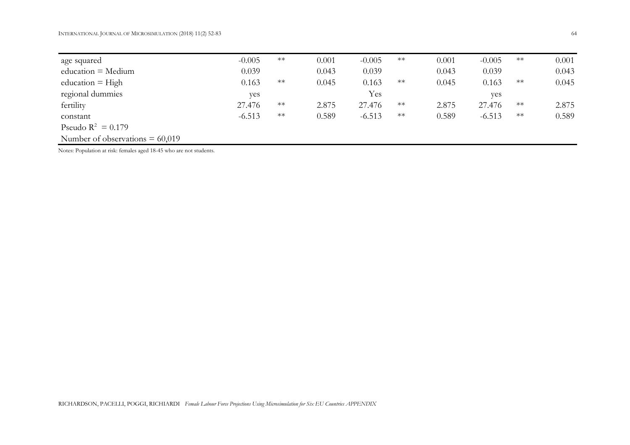| age squared                       | $-0.005$ | $\ast\ast$ | 0.001 | $-0.005$ | $**$ | 0.001 | $-0.005$ | $**$ | 0.001 |
|-----------------------------------|----------|------------|-------|----------|------|-------|----------|------|-------|
| $education = Medium$              | 0.039    |            | 0.043 | 0.039    |      | 0.043 | 0.039    |      | 0.043 |
| education $=$ High                | 0.163    | $***$      | 0.045 | 0.163    | $**$ | 0.045 | 0.163    | $**$ | 0.045 |
| regional dummies                  | yes      |            |       | Yes      |      |       | yes      |      |       |
| fertility                         | 27.476   | $**$       | 2.875 | 27.476   | $**$ | 2.875 | 27.476   | $**$ | 2.875 |
| constant                          | $-6.513$ | $**$       | 0.589 | $-6.513$ | $**$ | 0.589 | $-6.513$ | $**$ | 0.589 |
| Pseudo $R^2 = 0.179$              |          |            |       |          |      |       |          |      |       |
| Number of observations $= 60,019$ |          |            |       |          |      |       |          |      |       |

Notes: Population at risk: females aged 18-45 who are not students.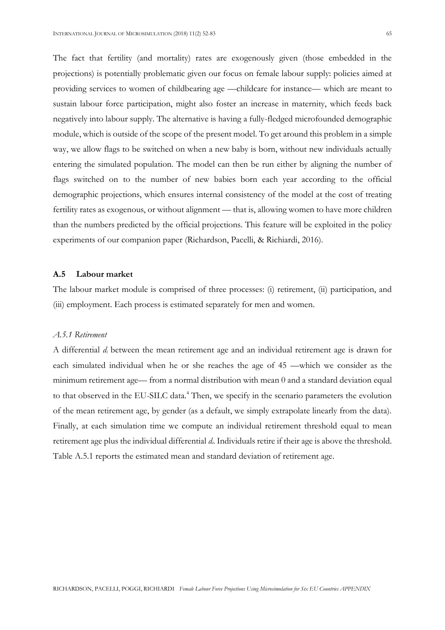The fact that fertility (and mortality) rates are exogenously given (those embedded in the projections) is potentially problematic given our focus on female labour supply: policies aimed at providing services to women of childbearing age —childcare for instance— which are meant to sustain labour force participation, might also foster an increase in maternity, which feeds back negatively into labour supply. The alternative is having a fully-fledged microfounded demographic module, which is outside of the scope of the present model. To get around this problem in a simple way, we allow flags to be switched on when a new baby is born, without new individuals actually entering the simulated population. The model can then be run either by aligning the number of flags switched on to the number of new babies born each year according to the official demographic projections, which ensures internal consistency of the model at the cost of treating fertility rates as exogenous, or without alignment — that is, allowing women to have more children than the numbers predicted by the official projections. This feature will be exploited in the policy experiments of our companion paper (Richardson, Pacelli, & Richiardi, 2016).

## **A.5 Labour market**

The labour market module is comprised of three processes: (i) retirement, (ii) participation, and (iii) employment. Each process is estimated separately for men and women.

## *A.5.1 Retirement*

A differential *d<sup>i</sup>* between the mean retirement age and an individual retirement age is drawn for each simulated individual when he or she reaches the age of 45 —which we consider as the minimum retirement age— from a normal distribution with mean 0 and a standard deviation equal to that observed in the EU-SILC data.<sup>4</sup> Then, we specify in the scenario parameters the evolution of the mean retirement age, by gender (as a default, we simply extrapolate linearly from the data). Finally, at each simulation time we compute an individual retirement threshold equal to mean retirement age plus the individual differential *di*. Individuals retire if their age is above the threshold. Table A.5.1 reports the estimated mean and standard deviation of retirement age.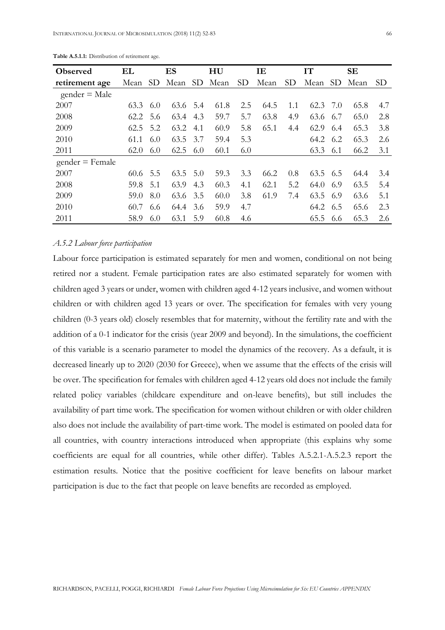| <b>Observed</b>   | EL   |     | ES   |     | HU   |                 | IE   |     | IT   |     | <b>SE</b> |                 |
|-------------------|------|-----|------|-----|------|-----------------|------|-----|------|-----|-----------|-----------------|
| retirement age    | Mean | SD. | Mean | SD  | Mean | SD <sub>1</sub> | Mean | SD. | Mean | SD. | Mean      | SD <sub>1</sub> |
| $gender = Male$   |      |     |      |     |      |                 |      |     |      |     |           |                 |
| 2007              | 63.3 | 6.0 | 63.6 | 5.4 | 61.8 | 2.5             | 64.5 | 1.1 | 62.3 | 7.0 | 65.8      | 4.7             |
| 2008              | 62.2 | 5.6 | 63.4 | 4.3 | 59.7 | 5.7             | 63.8 | 4.9 | 63.6 | 6.7 | 65.0      | 2.8             |
| 2009              | 62.5 | 5.2 | 63.2 | 4.1 | 60.9 | 5.8             | 65.1 | 4.4 | 62.9 | 6.4 | 65.3      | 3.8             |
| 2010              | 61.1 | 6.0 | 63.5 | 3.7 | 59.4 | 5.3             |      |     | 64.2 | 6.2 | 65.3      | 2.6             |
| 2011              | 62.0 | 6.0 | 62.5 | 6.0 | 60.1 | 6.0             |      |     | 63.3 | 6.1 | 66.2      | 3.1             |
| $gender = Female$ |      |     |      |     |      |                 |      |     |      |     |           |                 |
| 2007              | 60.6 | 5.5 | 63.5 | 5.0 | 59.3 | 3.3             | 66.2 | 0.8 | 63.5 | 6.5 | 64.4      | 3.4             |
| 2008              | 59.8 | 5.1 | 63.9 | 4.3 | 60.3 | 4.1             | 62.1 | 5.2 | 64.0 | 6.9 | 63.5      | 5.4             |
| 2009              | 59.0 | 8.0 | 63.6 | 3.5 | 60.0 | 3.8             | 61.9 | 7.4 | 63.5 | 6.9 | 63.6      | 5.1             |
| 2010              | 60.7 | 6.6 | 64.4 | 3.6 | 59.9 | 4.7             |      |     | 64.2 | 6.5 | 65.6      | 2.3             |
| 2011              | 58.9 | 6.0 | 63.1 | 5.9 | 60.8 | 4.6             |      |     | 65.5 | 6.6 | 65.3      | 2.6             |

**Table A.5.1.1:** Distribution of retirement age.

### *A.5.2 Labour force participation*

Labour force participation is estimated separately for men and women, conditional on not being retired nor a student. Female participation rates are also estimated separately for women with children aged 3 years or under, women with children aged 4-12 years inclusive, and women without children or with children aged 13 years or over. The specification for females with very young children (0-3 years old) closely resembles that for maternity, without the fertility rate and with the addition of a 0-1 indicator for the crisis (year 2009 and beyond). In the simulations, the coefficient of this variable is a scenario parameter to model the dynamics of the recovery. As a default, it is decreased linearly up to 2020 (2030 for Greece), when we assume that the effects of the crisis will be over. The specification for females with children aged 4-12 years old does not include the family related policy variables (childcare expenditure and on-leave benefits), but still includes the availability of part time work. The specification for women without children or with older children also does not include the availability of part-time work. The model is estimated on pooled data for all countries, with country interactions introduced when appropriate (this explains why some coefficients are equal for all countries, while other differ). Tables A.5.2.1-A.5.2.3 report the estimation results. Notice that the positive coefficient for leave benefits on labour market participation is due to the fact that people on leave benefits are recorded as employed.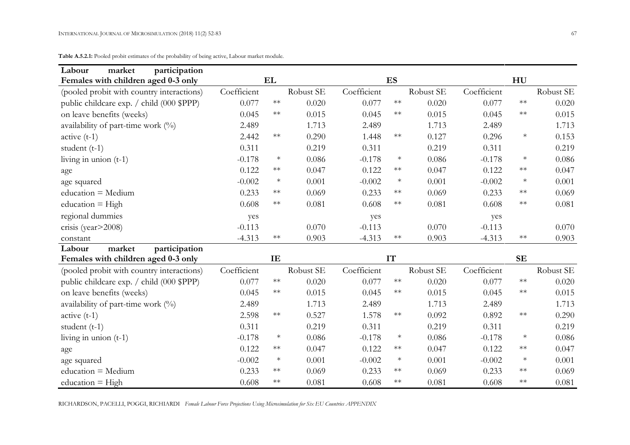**Table A.5.2.1:** Pooled probit estimates of the probability of being active, Labour market module.

| Labour<br>market<br>participation         |             |            |           |             |            |           |             |            |           |
|-------------------------------------------|-------------|------------|-----------|-------------|------------|-----------|-------------|------------|-----------|
| Females with children aged 0-3 only       |             | EL         |           |             | <b>ES</b>  |           |             | HU         |           |
| (pooled probit with country interactions) | Coefficient |            | Robust SE | Coefficient |            | Robust SE | Coefficient |            | Robust SE |
| public childcare exp. / child (000 \$PPP) | 0.077       | $\ast\ast$ | 0.020     | 0.077       | $\ast\ast$ | 0.020     | 0.077       | $\ast\ast$ | 0.020     |
| on leave benefits (weeks)                 | 0.045       | $**$       | 0.015     | 0.045       | $**$       | 0.015     | 0.045       | $\ast\ast$ | 0.015     |
| availability of part-time work (%)        | 2.489       |            | 1.713     | 2.489       |            | 1.713     | 2.489       |            | 1.713     |
| $active (t-1)$                            | 2.442       | $\ast\ast$ | 0.290     | 1.448       | $\ast\ast$ | 0.127     | 0.296       | $\ast$     | 0.153     |
| student $(t-1)$                           | 0.311       |            | 0.219     | 0.311       |            | 0.219     | 0.311       |            | 0.219     |
| living in union $(t-1)$                   | $-0.178$    | $\ast$     | 0.086     | $-0.178$    | $\ast$     | 0.086     | $-0.178$    | $\ast$     | 0.086     |
| age                                       | 0.122       | $\ast\ast$ | 0.047     | 0.122       | $\ast\ast$ | 0.047     | 0.122       | $\ast\ast$ | 0.047     |
| age squared                               | $-0.002$    | $\ast$     | 0.001     | $-0.002$    | $\ast$     | 0.001     | $-0.002$    | $\ast$     | 0.001     |
| education = Medium                        | 0.233       | $**$       | 0.069     | 0.233       | $**$       | 0.069     | 0.233       | $**$       | 0.069     |
| education $=$ High                        | 0.608       | $\ast\ast$ | 0.081     | 0.608       | $\ast\ast$ | 0.081     | 0.608       | $\ast\ast$ | 0.081     |
| regional dummies                          | yes         |            |           | yes         |            |           | yes         |            |           |
| crisis (year>2008)                        | $-0.113$    |            | 0.070     | $-0.113$    |            | 0.070     | $-0.113$    |            | 0.070     |
| constant                                  | $-4.313$    | $\ast\ast$ | 0.903     | $-4.313$    | $\ast\ast$ | 0.903     | $-4.313$    | $\ast\ast$ | 0.903     |
| participation<br>Labour<br>market         |             |            |           |             |            |           |             |            |           |
| Females with children aged 0-3 only       |             | IE         |           |             | <b>IT</b>  |           |             | <b>SE</b>  |           |
| (pooled probit with country interactions) | Coefficient |            | Robust SE | Coefficient |            | Robust SE | Coefficient |            | Robust SE |
| public childcare exp. / child (000 \$PPP) | 0.077       | $**$       | 0.020     | 0.077       | $\ast\ast$ | 0.020     | 0.077       | $\ast\ast$ | 0.020     |
| on leave benefits (weeks)                 | 0.045       | $**$       | 0.015     | 0.045       | $**$       | 0.015     | 0.045       | $\ast\ast$ | 0.015     |
| availability of part-time work $(\%)$     | 2.489       |            | 1.713     | 2.489       |            | 1.713     | 2.489       |            | 1.713     |
| $active (t-1)$                            | 2.598       | $**$       | 0.527     | 1.578       | $**$       | 0.092     | 0.892       | $\ast\ast$ | 0.290     |
| student $(t-1)$                           | 0.311       |            | 0.219     | 0.311       |            | 0.219     | 0.311       |            | 0.219     |
| living in union $(t-1)$                   | $-0.178$    | $\ast$     | 0.086     | $-0.178$    | $\ast$     | 0.086     | $-0.178$    | $\ast$     | 0.086     |
| age                                       | 0.122       | $**$       | 0.047     | 0.122       | $**$       | 0.047     | 0.122       | $**$       | 0.047     |
| age squared                               | $-0.002$    | $\ast$     | 0.001     | $-0.002$    | $\ast$     | 0.001     | $-0.002$    | $\ast$     | 0.001     |
| $education = Medium$                      | 0.233       | $**$       | 0.069     | 0.233       | $**$       | 0.069     | 0.233       | $**$       | 0.069     |
| education $=$ High                        | 0.608       | $**$       | 0.081     | 0.608       | $**$       | 0.081     | 0.608       | $**$       | 0.081     |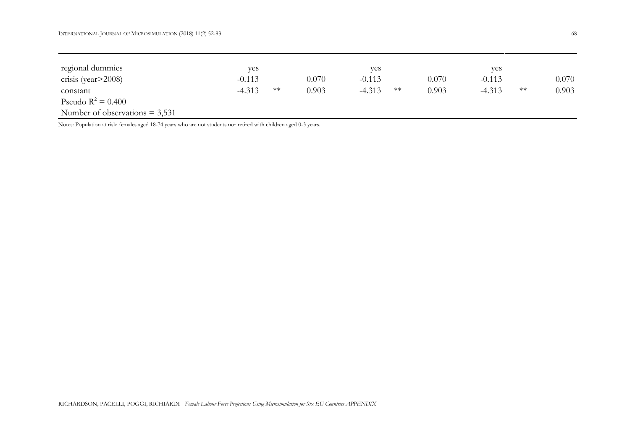| regional dummies                 | yes      |      |       | yes      |      |       | yes      |      |       |
|----------------------------------|----------|------|-------|----------|------|-------|----------|------|-------|
| crisis (year $>$ 2008)           | $-0.113$ |      | 0.070 | $-0.113$ |      | 0.070 | $-0.113$ |      | 0.070 |
| constant                         | $-4.313$ | $**$ | 0.903 | $-4.313$ | $**$ | 0.903 | $-4.313$ | $**$ | 0.903 |
| Pseudo $R^2 = 0.400$             |          |      |       |          |      |       |          |      |       |
| Number of observations $= 3,531$ |          |      |       |          |      |       |          |      |       |

Notes: Population at risk: females aged 18-74 years who are not students nor retired with children aged 0-3 years.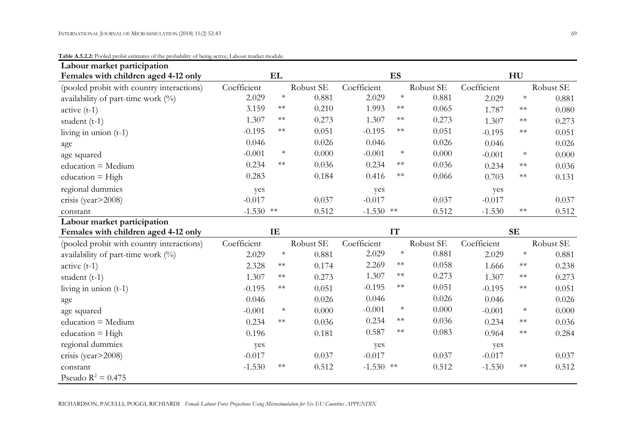Pseudo  $R^2 = 0.475$ 

| Labour market participation               |             |            |           |             |            |           |             |            |           |
|-------------------------------------------|-------------|------------|-----------|-------------|------------|-----------|-------------|------------|-----------|
| Females with children aged 4-12 only      |             | EL         |           |             | ES         |           |             | HU         |           |
| (pooled probit with country interactions) | Coefficient |            | Robust SE | Coefficient |            | Robust SE | Coefficient |            | Robust SE |
| availability of part-time work $(%)$      | 2.029       | $\ast$     | 0.881     | 2.029       | $\ast$     | 0.881     | 2.029       | $\ast$     | 0.881     |
| $active(t-1)$                             | 3.159       | $\ast\ast$ | 0.210     | 1.993       | $\ast\ast$ | 0.065     | 1.787       | $\ast\ast$ | 0.080     |
| student $(t-1)$                           | 1.307       | $\ast\ast$ | 0.273     | 1.307       | $\ast\ast$ | 0.273     | 1.307       | $\ast\ast$ | 0.273     |
| living in union $(t-1)$                   | $-0.195$    | $\ast\ast$ | 0.051     | $-0.195$    | $**$       | 0.051     | $-0.195$    | $**$       | 0.051     |
| age                                       | 0.046       |            | 0.026     | 0.046       |            | 0.026     | 0.046       |            | 0.026     |
| age squared                               | $-0.001$    | $\ast$     | 0.000     | $-0.001$    | $\ast$     | 0.000     | $-0.001$    | $\ast$     | 0.000     |
| education = Medium                        | 0.234       | $\ast\ast$ | 0.036     | 0.234       | $**$       | 0.036     | 0.234       | $\ast\ast$ | 0.036     |
| education = $High$                        | 0.283       |            | 0.184     | 0.416       | $\ast\ast$ | 0.066     | 0.703       | $\ast\ast$ | 0.131     |
| regional dummies                          | yes         |            |           | yes         |            |           | yes         |            |           |
| crisis (year>2008)                        | $-0.017$    |            | 0.037     | $-0.017$    |            | 0.037     | $-0.017$    |            | 0.037     |
| constant                                  | $-1.530$ ** |            | 0.512     | $-1.530$ ** |            | 0.512     | $-1.530$    | $**$       | 0.512     |
| Labour market participation               |             |            |           |             |            |           |             |            |           |
| Females with children aged 4-12 only      |             | IE         |           |             | IT         |           |             | <b>SE</b>  |           |
| (pooled probit with country interactions) | Coefficient |            | Robust SE | Coefficient |            | Robust SE | Coefficient |            | Robust SE |
| availability of part-time work $(\%)$     | 2.029       | $\ast$     | 0.881     | 2.029       | $\ast$     | 0.881     | 2.029       | $\ast$     | 0.881     |
| $active (t-1)$                            | 2.328       | $\ast\ast$ | 0.174     | 2.269       | $\ast\ast$ | 0.058     | 1.666       | $\ast\ast$ | 0.238     |
| student $(t-1)$                           | 1.307       | $\ast\ast$ | 0.273     | 1.307       | $\ast\ast$ | 0.273     | 1.307       | $\ast\ast$ | 0.273     |
| living in union $(t-1)$                   | $-0.195$    | $\ast\ast$ | 0.051     | $-0.195$    | $**$       | 0.051     | $-0.195$    | $\ast\ast$ | 0.051     |
| age                                       | 0.046       |            | 0.026     | 0.046       |            | 0.026     | 0.046       |            | 0.026     |
| age squared                               | $-0.001$    | $\ast$     | 0.000     | $-0.001$    | $\ast$     | 0.000     | $-0.001$    | $\ast$     | 0.000     |
| $education = Medium$                      | 0.234       | $\ast\ast$ | 0.036     | 0.234       | $\ast\ast$ | 0.036     | 0.234       | $**$       | 0.036     |
| education = $High$                        | 0.196       |            | 0.181     | 0.587       | $\ast\ast$ | 0.083     | 0.964       | $**$       | 0.284     |
| regional dummies                          | yes         |            |           | yes         |            |           | yes         |            |           |
| crisis (year>2008)                        | $-0.017$    |            | 0.037     | $-0.017$    |            | 0.037     | $-0.017$    |            | 0.037     |
| constant                                  | $-1.530$    | $\ast\ast$ | 0.512     | $-1.530$ ** |            | 0.512     | $-1.530$    | $**$       | 0.512     |

#### **Table A.5.2.2:** Pooled probit estimates of the probability of being active, Labour market module.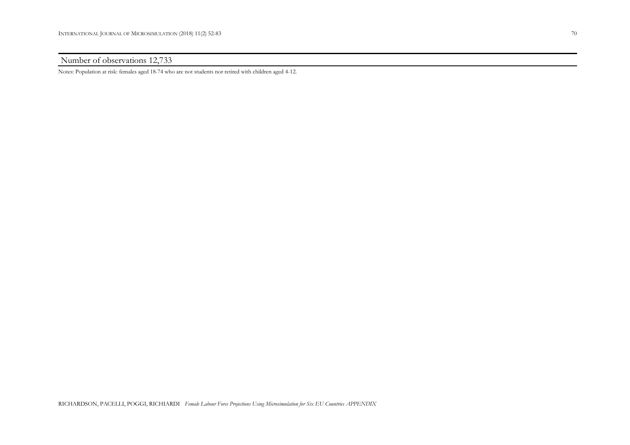Number of observations 12,733

Notes: Population at risk: females aged 18-74 who are not students nor retired with children aged 4-12.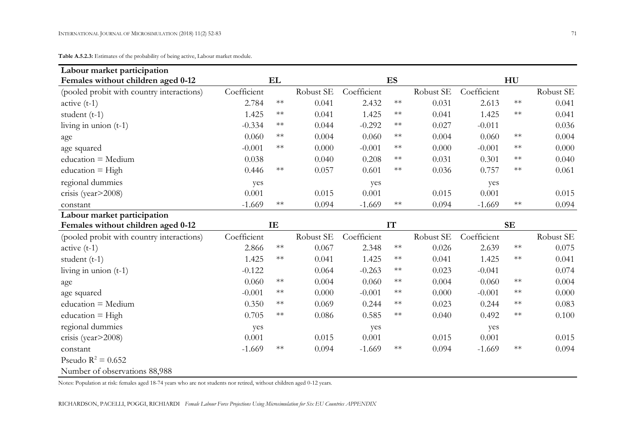**Table A.5.2.3:** Estimates of the probability of being active, Labour market module.

| Labour market participation               |             |            |           |             |            |           |             |            |           |
|-------------------------------------------|-------------|------------|-----------|-------------|------------|-----------|-------------|------------|-----------|
| Females without children aged 0-12        |             | EL         |           |             | ES         |           |             | HU         |           |
| (pooled probit with country interactions) | Coefficient |            | Robust SE | Coefficient |            | Robust SE | Coefficient |            | Robust SE |
| $active (t-1)$                            | 2.784       | $\ast\ast$ | 0.041     | 2.432       | $\ast\ast$ | 0.031     | 2.613       | $\ast\ast$ | 0.041     |
| student $(t-1)$                           | 1.425       | $\ast\ast$ | 0.041     | 1.425       | $\ast\ast$ | 0.041     | 1.425       | $\ast\ast$ | 0.041     |
| living in union $(t-1)$                   | $-0.334$    | $\ast\ast$ | 0.044     | $-0.292$    | $\ast\ast$ | 0.027     | $-0.011$    |            | 0.036     |
| age                                       | 0.060       | $\ast\ast$ | 0.004     | 0.060       | $\ast\ast$ | 0.004     | 0.060       | $\ast\ast$ | 0.004     |
| age squared                               | $-0.001$    | $\ast\ast$ | 0.000     | $-0.001$    | $\ast\ast$ | 0.000     | $-0.001$    | $\ast\ast$ | 0.000     |
| $education = Medium$                      | 0.038       |            | 0.040     | 0.208       | $\ast\ast$ | 0.031     | 0.301       | $\ast\ast$ | 0.040     |
| education $=$ High                        | 0.446       | $\ast\ast$ | 0.057     | 0.601       | $**$       | 0.036     | 0.757       | $\ast\ast$ | 0.061     |
| regional dummies                          | yes         |            |           | yes         |            |           | yes         |            |           |
| crisis (year>2008)                        | 0.001       |            | 0.015     | 0.001       |            | 0.015     | 0.001       |            | 0.015     |
| constant                                  | $-1.669$    | $\ast\ast$ | 0.094     | $-1.669$    | $\ast\ast$ | 0.094     | $-1.669$    | $\ast\ast$ | 0.094     |
| Labour market participation               |             |            |           |             |            |           |             |            |           |
| Females without children aged 0-12        |             | IE         |           |             | IT         |           |             | <b>SE</b>  |           |
| (pooled probit with country interactions) | Coefficient |            | Robust SE | Coefficient |            | Robust SE | Coefficient |            | Robust SE |
| $active (t-1)$                            | 2.866       | $\ast\ast$ | 0.067     | 2.348       | $\ast\ast$ | 0.026     |             | $\ast\ast$ | 0.075     |
|                                           |             |            |           |             |            |           | 2.639       |            |           |
| student $(t-1)$                           | 1.425       | $\ast\ast$ | 0.041     | 1.425       | $\ast\ast$ | 0.041     | 1.425       | $\ast\ast$ | 0.041     |
| living in union $(t-1)$                   | $-0.122$    |            | 0.064     | $-0.263$    | $\ast\ast$ | 0.023     | $-0.041$    |            | 0.074     |
| age                                       | 0.060       | $\ast\ast$ | 0.004     | 0.060       | $\ast\ast$ | 0.004     | 0.060       | $\ast\ast$ | 0.004     |
| age squared                               | $-0.001$    | $\ast\ast$ | 0.000     | $-0.001$    | $\ast\ast$ | 0.000     | $-0.001$    | $\ast\ast$ | 0.000     |
| $education = Medium$                      | 0.350       | $\ast\ast$ | 0.069     | 0.244       | $\ast\ast$ | 0.023     | 0.244       | $\ast\ast$ | 0.083     |
| education $=$ High                        | 0.705       | $\ast\ast$ | 0.086     | 0.585       | $**$       | 0.040     | 0.492       | $**$       | 0.100     |
| regional dummies                          | yes         |            |           | yes         |            |           | yes         |            |           |
| crisis (year>2008)                        | 0.001       |            | 0.015     | 0.001       |            | 0.015     | 0.001       |            | 0.015     |
| constant                                  | $-1.669$    | $\ast\ast$ | 0.094     | $-1.669$    | $**$       | 0.094     | $-1.669$    | $\ast\ast$ | 0.094     |
| Pseudo $R^2 = 0.652$                      |             |            |           |             |            |           |             |            |           |

Notes: Population at risk: females aged 18-74 years who are not students nor retired, without children aged 0-12 years.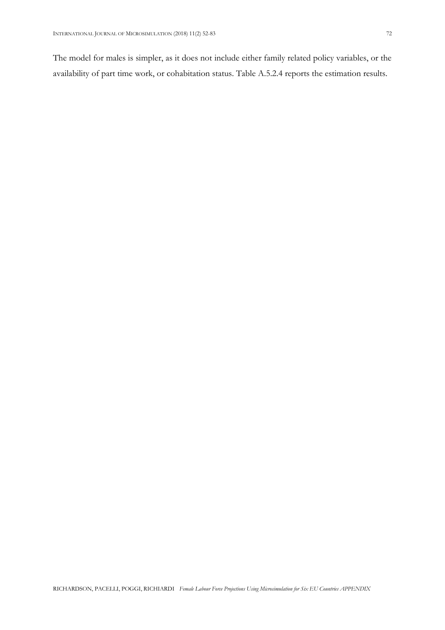The model for males is simpler, as it does not include either family related policy variables, or the availability of part time work, or cohabitation status. Table A.5.2.4 reports the estimation results.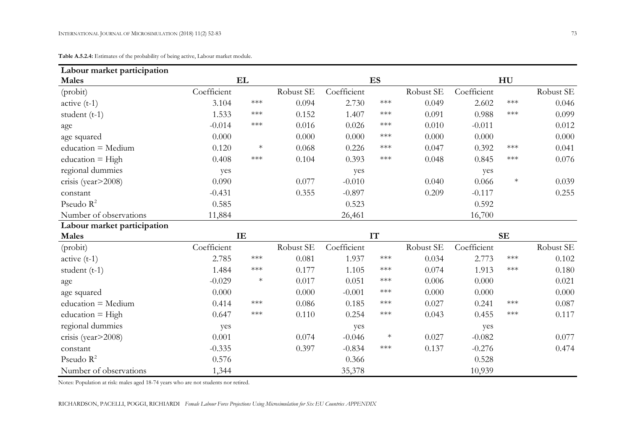**Table A.5.2.4:** Estimates of the probability of being active, Labour market module.

| Labour market participation |             |                                |           |             |                         |           |             |                       |           |
|-----------------------------|-------------|--------------------------------|-----------|-------------|-------------------------|-----------|-------------|-----------------------|-----------|
| <b>Males</b>                |             | EL                             |           |             | ES                      |           |             | HU                    |           |
| (probit)                    | Coefficient |                                | Robust SE | Coefficient |                         | Robust SE | Coefficient |                       | Robust SE |
| $active (t-1)$              | 3.104       | $***$                          | 0.094     | 2.730       | $\star\!\star\!\star$   | 0.049     | 2.602       | $\star\!\star\!\star$ | 0.046     |
| student $(t-1)$             | 1.533       | ***                            | 0.152     | 1.407       | $\ast\!\ast\!\ast$      | 0.091     | 0.988       | $\star\!\star\!\star$ | 0.099     |
| age                         | $-0.014$    | $***$                          | 0.016     | 0.026       | $\ast\!\ast\!\ast$      | 0.010     | $-0.011$    |                       | 0.012     |
| age squared                 | 0.000       |                                | 0.000     | 0.000       | $\ast\!\ast\!\ast$      | 0.000     | 0.000       |                       | 0.000     |
| education = Medium          | 0.120       | $\ast$                         | 0.068     | 0.226       | $\star\!\star\!\star$   | 0.047     | 0.392       | $\star\!\star\!\star$ | 0.041     |
| education = $High$          | 0.408       | $***$                          | 0.104     | 0.393       | $***$                   | 0.048     | 0.845       | $\star\!\star\!\star$ | 0.076     |
| regional dummies            | yes         |                                |           | yes         |                         |           | yes         |                       |           |
| crisis (year>2008)          | 0.090       |                                | 0.077     | $-0.010$    |                         | 0.040     | 0.066       | $\ast$                | 0.039     |
| constant                    | $-0.431$    |                                | 0.355     | $-0.897$    |                         | 0.209     | $-0.117$    |                       | 0.255     |
| Pseudo $R^2$                | 0.585       |                                |           | 0.523       |                         |           | 0.592       |                       |           |
| Number of observations      | 11,884      |                                |           | 26,461      |                         |           | 16,700      |                       |           |
| Labour market participation |             |                                |           |             |                         |           |             |                       |           |
| <b>Males</b>                |             | IE                             |           |             | $\mathbf{I} \mathbf{T}$ |           |             | $\mathbf{SE}$         |           |
| (probit)                    | Coefficient |                                | Robust SE | Coefficient |                         | Robust SE | Coefficient |                       | Robust SE |
| $active(t-1)$               | 2.785       | $\ast\!\!\ast\!\!\ast\!\!\ast$ | 0.081     | 1.937       | $\star\!\star\!\star$   | 0.034     | 2.773       | $\star\!\star\!\star$ | 0.102     |
| student $(t-1)$             | 1.484       | $***$                          | 0.177     | 1.105       | $\star\!\star\!\star$   | 0.074     | 1.913       | $\star\!\star\!\star$ | 0.180     |
| age                         | $-0.029$    | $\ast$                         | 0.017     | 0.051       | $\ast\!\ast\!\ast$      | 0.006     | 0.000       |                       | 0.021     |
| age squared                 | 0.000       |                                | 0.000     | $-0.001$    | $\ast\!\ast\!\ast$      | 0.000     | 0.000       |                       | 0.000     |
| education = Medium          | 0.414       | $***$                          | 0.086     | 0.185       | $\ast\!\ast\!\ast$      | 0.027     | 0.241       | $***$                 | 0.087     |
| education $=$ High          | 0.647       | $***$                          | 0.110     | 0.254       | $\ast\!\ast\!\ast$      | 0.043     | 0.455       | $***$                 | 0.117     |
| regional dummies            | yes         |                                |           | yes         |                         |           | yes         |                       |           |
| crisis (year>2008)          | 0.001       |                                | 0.074     | $-0.046$    | $\ast$                  | 0.027     | $-0.082$    |                       | 0.077     |
| constant                    | $-0.335$    |                                | 0.397     | $-0.834$    | $***$                   | 0.137     | $-0.276$    |                       | 0.474     |
| Pseudo $R^2$                | 0.576       |                                |           | 0.366       |                         |           | 0.528       |                       |           |
| Number of observations      | 1,344       |                                |           | 35,378      |                         |           | 10,939      |                       |           |

Notes: Population at risk: males aged 18-74 years who are not students nor retired.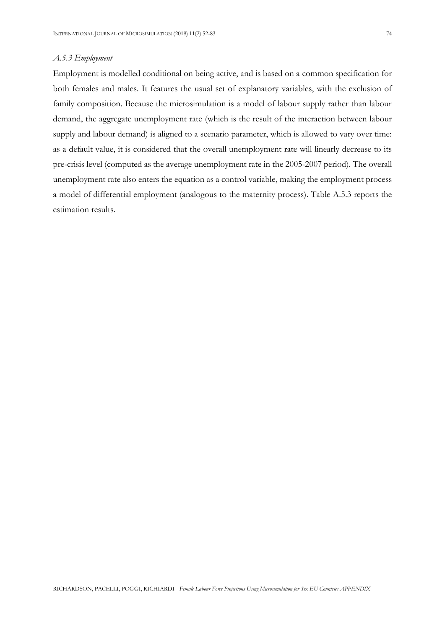Employment is modelled conditional on being active, and is based on a common specification for both females and males. It features the usual set of explanatory variables, with the exclusion of family composition. Because the microsimulation is a model of labour supply rather than labour demand, the aggregate unemployment rate (which is the result of the interaction between labour supply and labour demand) is aligned to a scenario parameter, which is allowed to vary over time: as a default value, it is considered that the overall unemployment rate will linearly decrease to its pre-crisis level (computed as the average unemployment rate in the 2005-2007 period). The overall unemployment rate also enters the equation as a control variable, making the employment process a model of differential employment (analogous to the maternity process). Table A.5.3 reports the estimation results.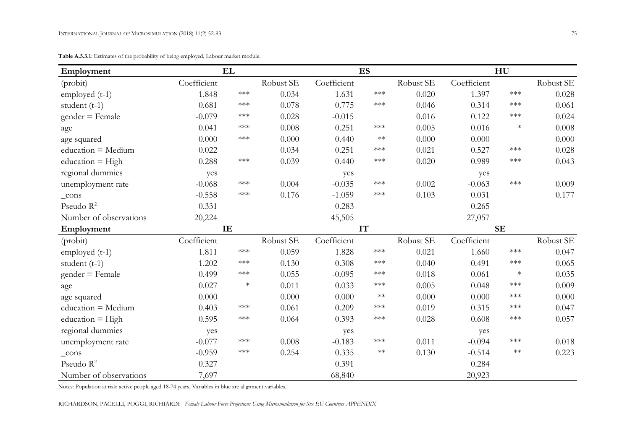| Employment             |             | EL                    |           |             | <b>ES</b>             |           |             | HU                 |           |
|------------------------|-------------|-----------------------|-----------|-------------|-----------------------|-----------|-------------|--------------------|-----------|
| (probit)               | Coefficient |                       | Robust SE | Coefficient |                       | Robust SE | Coefficient |                    | Robust SE |
| employed $(t-1)$       | 1.848       | $\star\!\star\!\star$ | 0.034     | 1.631       | $\star\!\star\!\star$ | 0.020     | 1.397       | $***$              | 0.028     |
| student $(t-1)$        | 0.681       | $***$                 | 0.078     | 0.775       | $\star\!\star\!\star$ | 0.046     | 0.314       | $\ast\!\ast\!\ast$ | 0.061     |
| $gender = Female$      | $-0.079$    | $\star\!\star\!\star$ | 0.028     | $-0.015$    |                       | 0.016     | 0.122       | $***$              | 0.024     |
| age                    | 0.041       | $\star\!\star\!\star$ | 0.008     | 0.251       | $\star\!\star\!\star$ | 0.005     | 0.016       | $\ast$             | 0.008     |
| age squared            | 0.000       | $\star\!\star\!\star$ | 0.000     | 0.440       | $\ast\ast$            | 0.000     | 0.000       |                    | 0.000     |
| education = Medium     | 0.022       |                       | 0.034     | 0.251       | $\star\!\star\!\star$ | 0.021     | 0.527       | $***$              | 0.028     |
| education $=$ High     | 0.288       | $\star\!\star\!\star$ | 0.039     | 0.440       | $\star\!\star\!\star$ | 0.020     | 0.989       | $***$              | 0.043     |
| regional dummies       | yes         |                       |           | yes         |                       |           | yes         |                    |           |
| unemployment rate      | $-0.068$    | $***$                 | 0.004     | $-0.035$    | $***$                 | 0.002     | $-0.063$    | $***$              | 0.009     |
| $_{\rm cons}$          | $-0.558$    | $***$                 | 0.176     | $-1.059$    | $\star\!\star\!\star$ | 0.103     | 0.031       |                    | 0.177     |
| Pseudo $R^2$           | 0.331       |                       |           | 0.283       |                       |           | 0.265       |                    |           |
| Number of observations | 20,224      |                       |           | 45,505      |                       |           | 27,057      |                    |           |
| Employment             |             | IE                    |           |             | IT                    |           |             | <b>SE</b>          |           |
| (probit)               | Coefficient |                       | Robust SE | Coefficient |                       | Robust SE | Coefficient |                    | Robust SE |
| employed $(t-1)$       | 1.811       | $\star\!\star\!\star$ | 0.059     | 1.828       | $\star\!\star\!\star$ | 0.021     | 1.660       | $\ast\!\ast\!\ast$ | 0.047     |
| student $(t-1)$        | 1.202       | $***$                 | 0.130     | 0.308       | $***$                 | 0.040     | 0.491       | $***$              | 0.065     |
| $gender = Female$      | 0.499       | $\star\!\star\!\star$ | 0.055     | $-0.095$    | $\star\!\star\!\star$ | 0.018     | 0.061       | $\ast$             | 0.035     |
| age                    | 0.027       | $\ast$                | 0.011     | 0.033       | $\star\!\star\!\star$ | 0.005     | 0.048       | $***$              | 0.009     |
| age squared            | 0.000       |                       | 0.000     | 0.000       | $**$                  | 0.000     | 0.000       | $***$              | 0.000     |
| education = Medium     | 0.403       | $\star\!\star\!\star$ | 0.061     | 0.209       | $***$                 | 0.019     | 0.315       | $***$              | 0.047     |
| $education = High$     | 0.595       | $***$                 | 0.064     | 0.393       | $***$                 | 0.028     | 0.608       | ***                | 0.057     |
| regional dummies       | yes         |                       |           | yes         |                       |           | yes         |                    |           |
| unemployment rate      | $-0.077$    | $***$                 | 0.008     | $-0.183$    | $\star\!\star\!\star$ | 0.011     | $-0.094$    | $***$              | 0.018     |
| $_{\rm cons}$          | $-0.959$    | $***$                 | 0.254     | 0.335       | $**$                  | 0.130     | $-0.514$    | $**$               | 0.223     |
| Pseudo $R^2$           | 0.327       |                       |           | 0.391       |                       |           | 0.284       |                    |           |
| Number of observations | 7,697       |                       |           | 68,840      |                       |           | 20,923      |                    |           |

**Table A.5.3.1**: Estimates of the probability of being employed, Labour market module.

Notes: Population at risk: active people aged 18-74 years. Variables in blue are alignment variables.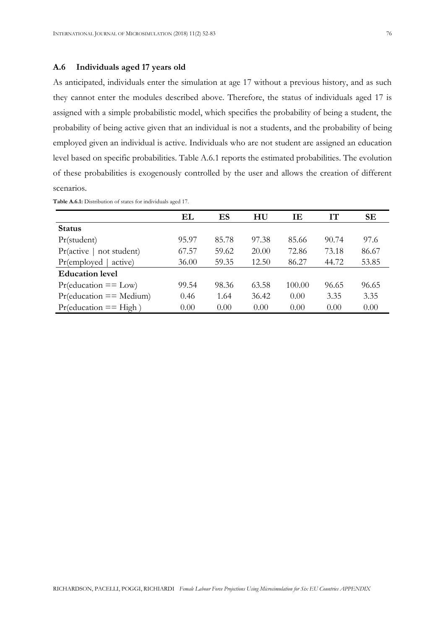## **A.6 Individuals aged 17 years old**

As anticipated, individuals enter the simulation at age 17 without a previous history, and as such they cannot enter the modules described above. Therefore, the status of individuals aged 17 is assigned with a simple probabilistic model, which specifies the probability of being a student, the probability of being active given that an individual is not a students, and the probability of being employed given an individual is active. Individuals who are not student are assigned an education level based on specific probabilities. Table A.6.1 reports the estimated probabilities. The evolution of these probabilities is exogenously controlled by the user and allows the creation of different scenarios.

|                            | EL    | ES    | HU    | IΕ     | IТ    | <b>SE</b> |
|----------------------------|-------|-------|-------|--------|-------|-----------|
| <b>Status</b>              |       |       |       |        |       |           |
| Pr(student)                | 95.97 | 85.78 | 97.38 | 85.66  | 90.74 | 97.6      |
| Pr(active<br>not student)  | 67.57 | 59.62 | 20.00 | 72.86  | 73.18 | 86.67     |
| Pr(employed<br>active)     | 36.00 | 59.35 | 12.50 | 86.27  | 44.72 | 53.85     |
| <b>Education level</b>     |       |       |       |        |       |           |
| $Pr$ (education == Low)    | 99.54 | 98.36 | 63.58 | 100.00 | 96.65 | 96.65     |
| $Pr$ (education == Medium) | 0.46  | 1.64  | 36.42 | 0.00   | 3.35  | 3.35      |
| $Pr$ (education == High)   | 0.00  | 0.00  | 0.00  | 0.00   | 0.00  | 0.00      |

**Table A.6.1:** Distribution of states for individuals aged 17.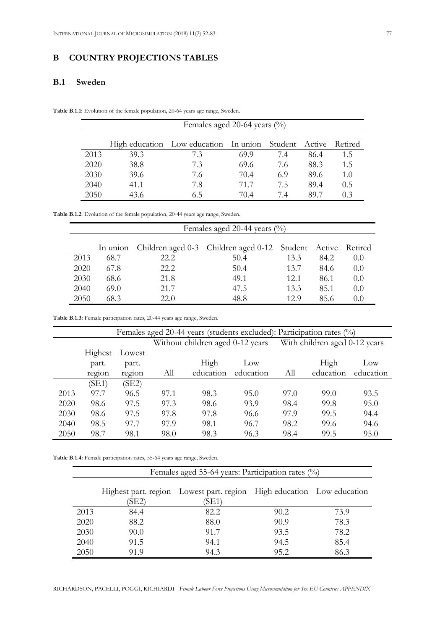## **B COUNTRY PROJECTIONS TABLES**

## **B.1 Sweden**

**Table B.1.1:** Evolution of the female population, 20-64 years age range, Sweden.

|      | Females aged 20-64 years $\frac{0}{0}$ |                                                              |      |     |      |        |  |  |  |
|------|----------------------------------------|--------------------------------------------------------------|------|-----|------|--------|--|--|--|
|      |                                        | High education Low education In union Student Active Retired |      |     |      |        |  |  |  |
| 2013 | 39.3                                   | 73                                                           | 69.9 | 7.4 | 86.4 | 1.5    |  |  |  |
| 2020 | 38.8                                   | 7.3                                                          | 69.6 | 7.6 | 88.3 | 1.5    |  |  |  |
| 2030 | 39.6                                   | 7.6                                                          | 70.4 | 6.9 | 89.6 | 1.0    |  |  |  |
| 2040 | 41.1                                   | 7.8                                                          | 71 7 | 75  | 89.4 | 0.5    |  |  |  |
| 2050 | 43 6                                   | 6 5                                                          | 704  | 74  | 89 7 | $()$ 3 |  |  |  |

**Table B.1.2**: Evolution of the female population, 20-44 years age range, Sweden.

|      | Females aged 20-44 years (%) |      |                                                     |      |      |         |  |  |  |  |
|------|------------------------------|------|-----------------------------------------------------|------|------|---------|--|--|--|--|
|      | In union                     |      | Children aged 0-3 Children aged 0-12 Student Active |      |      | Retired |  |  |  |  |
| 2013 | 68.7                         | 22.2 | 50.4                                                | 13.3 | 84.2 | 0.0     |  |  |  |  |
| 2020 | 67.8                         | 22.2 | 50.4                                                | 13.7 | 84.6 | 0.0     |  |  |  |  |
| 2030 | 68.6                         | 21.8 | 49.1                                                | 12.1 | 86.1 | 0.0     |  |  |  |  |
| 2040 | 69.0                         | 21.7 | 47.5                                                | 13.3 | 85.1 | 0.0     |  |  |  |  |
| 2050 | 68.3                         | 22.0 | 48.8                                                | 12.9 | 85.6 | (0.0)   |  |  |  |  |

**Table B.1.3:** Female participation rates, 20-44 years age range, Sweden.

|      | Females aged 20-44 years (students excluded): Participation rates (%) |        |      |           |                                  |      |                               |           |  |
|------|-----------------------------------------------------------------------|--------|------|-----------|----------------------------------|------|-------------------------------|-----------|--|
|      |                                                                       |        |      |           | Without children aged 0-12 years |      | With children aged 0-12 years |           |  |
|      | Highest                                                               | Lowest |      |           |                                  |      |                               |           |  |
|      | part.                                                                 | part.  |      | High      | $_{\text{Low}}$                  |      | High                          | Low       |  |
|      | region                                                                | region | All  | education | education                        | All  | education                     | education |  |
|      | (SE1)                                                                 | (SE2)  |      |           |                                  |      |                               |           |  |
| 2013 | 97.7                                                                  | 96.5   | 97.1 | 98.3      | 95.0                             | 97.0 | 99.0                          | 93.5      |  |
| 2020 | 98.6                                                                  | 97.5   | 97.3 | 98.6      | 93.9                             | 98.4 | 99.8                          | 95.0      |  |
| 2030 | 98.6                                                                  | 97.5   | 97.8 | 97.8      | 96.6                             | 97.9 | 99.5                          | 94.4      |  |
| 2040 | 98.5                                                                  | 97.7   | 97.9 | 98.1      | 96.7                             | 98.2 | 99.6                          | 94.6      |  |
| 2050 | 98.7                                                                  | 98.1   | 98.0 | 98.3      | 96.3                             | 98.4 | 99.5                          | 95.0      |  |

**Table B.1.4:** Female participation rates, 55-64 years age range, Sweden.

|      | Females aged 55-64 years: Participation rates $(\%)$ |                                                                                |      |      |  |  |  |  |  |  |
|------|------------------------------------------------------|--------------------------------------------------------------------------------|------|------|--|--|--|--|--|--|
|      | (SE2)                                                | Highest part. region Lowest part. region High education Low education<br>(SE1) |      |      |  |  |  |  |  |  |
| 2013 | 84.4                                                 | 82.2                                                                           | 90.2 | 73.9 |  |  |  |  |  |  |
| 2020 | 88.2                                                 | 88.0                                                                           | 90.9 | 78.3 |  |  |  |  |  |  |
| 2030 | 90.0                                                 | 91.7                                                                           | 93.5 | 78.2 |  |  |  |  |  |  |
| 2040 | 91.5                                                 | 94.1                                                                           | 94.5 | 85.4 |  |  |  |  |  |  |
| 2050 | 91.9                                                 | 94.3                                                                           | 95.2 | 86.3 |  |  |  |  |  |  |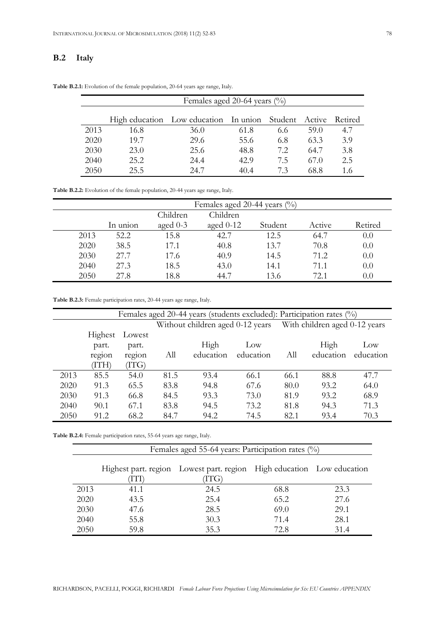## **B.2 Italy**

|      | Females aged 20-64 years $\binom{0}{0}$ |                                                      |      |     |      |         |  |  |  |
|------|-----------------------------------------|------------------------------------------------------|------|-----|------|---------|--|--|--|
|      |                                         | High education Low education In union Student Active |      |     |      | Retired |  |  |  |
| 2013 | 16.8                                    | 36.0                                                 | 61.8 | 6.6 | 59.0 | 4.7     |  |  |  |
| 2020 | 19.7                                    | 29.6                                                 | 55.6 | 6.8 | 63.3 | 3.9     |  |  |  |
| 2030 | 23.0                                    | 25.6                                                 | 48.8 | 7.2 | 64.7 | 3.8     |  |  |  |
| 2040 | 25.2                                    | 24.4                                                 | 42.9 | 7.5 | 67.0 | 2.5     |  |  |  |
| 2050 | 25.5                                    | 24.7                                                 | 404  | 73  | 68.8 | 1.6     |  |  |  |

**Table B.2.1:** Evolution of the female population, 20-64 years age range, Italy.

**Table B.2.2:** Evolution of the female population, 20-44 years age range, Italy.

|      |          |            | Females aged 20-44 years (%) |         |        |         |
|------|----------|------------|------------------------------|---------|--------|---------|
|      |          | Children   | Children                     |         |        |         |
|      | In union | aged $0-3$ | aged $0-12$                  | Student | Active | Retired |
| 2013 | 52.2     | 15.8       | 42.7                         | 12.5    | 64.7   | 0.0     |
| 2020 | 38.5     | 17.1       | 40.8                         | 13.7    | 70.8   | 0.0     |
| 2030 | 27.7     | 17.6       | 40.9                         | 14.5    | 71.2   | 0.0     |
| 2040 | 27.3     | 18.5       | 43.0                         | 14.1    | 71.1   | 0.0     |
| 2050 | 27.8     | 18.8       | 44.7                         | 13.6    | 72.1   | 0.0     |

**Table B.2.3:** Female participation rates, 20-44 years age range, Italy.

|      | Females aged 20-44 years (students excluded): Participation rates (%) |        |      |                                  |                 |      |                               |           |
|------|-----------------------------------------------------------------------|--------|------|----------------------------------|-----------------|------|-------------------------------|-----------|
|      |                                                                       |        |      | Without children aged 0-12 years |                 |      | With children aged 0-12 years |           |
|      | <b>Highest</b>                                                        | Lowest |      |                                  |                 |      |                               |           |
|      | part.                                                                 | part.  |      | High                             | $_{\text{Low}}$ |      | High                          | Low       |
|      | region                                                                | region | All  | education                        | education       | All  | education                     | education |
|      | (ITH)                                                                 | (ITG)  |      |                                  |                 |      |                               |           |
| 2013 | 85.5                                                                  | 54.0   | 81.5 | 93.4                             | 66.1            | 66.1 | 88.8                          | 47.7      |
| 2020 | 91.3                                                                  | 65.5   | 83.8 | 94.8                             | 67.6            | 80.0 | 93.2                          | 64.0      |
| 2030 | 91.3                                                                  | 66.8   | 84.5 | 93.3                             | 73.0            | 81.9 | 93.2                          | 68.9      |
| 2040 | 90.1                                                                  | 67.1   | 83.8 | 94.5                             | 73.2            | 81.8 | 94.3                          | 71.3      |
| 2050 | 91.2                                                                  | 68.2   | 84.7 | 94.2                             | 74.5            | 82.1 | 93.4                          | 70.3      |

**Table B.2.4:** Female participation rates, 55-64 years age range, Italy.

Females aged 55-64 years: Participation rates (%)

|      |      | Highest part. region Lowest part. region High education Low education |      |      |
|------|------|-----------------------------------------------------------------------|------|------|
|      | ľП   | TTG)                                                                  |      |      |
| 2013 | 41.1 | 24.5                                                                  | 68.8 | 23.3 |
| 2020 | 43.5 | 25.4                                                                  | 65.2 | 27.6 |
| 2030 | 47.6 | 28.5                                                                  | 69.0 | 29.1 |
| 2040 | 55.8 | 30.3                                                                  | 71.4 | 28.1 |
| 2050 | 59.8 | 35.3                                                                  | 72.8 | 31.4 |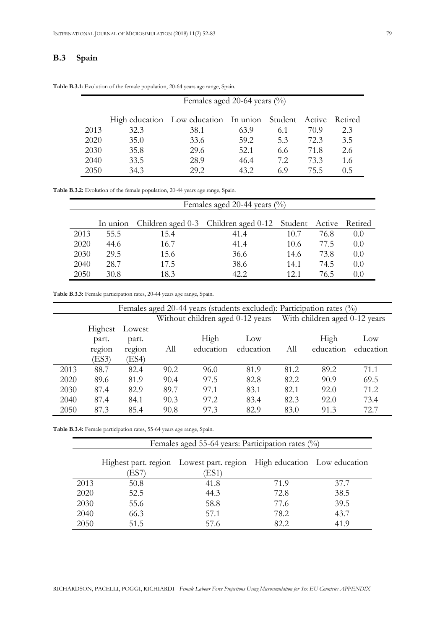## **B.3 Spain**

|      | Females aged 20-64 years $\binom{0}{0}$ |                                                      |      |     |      |         |  |  |  |
|------|-----------------------------------------|------------------------------------------------------|------|-----|------|---------|--|--|--|
|      |                                         | High education Low education In union Student Active |      |     |      | Retired |  |  |  |
| 2013 | 32.3                                    | 38.1                                                 | 63.9 | 6.1 | 70.9 | 2.3     |  |  |  |
| 2020 | 35.0                                    | 33.6                                                 | 59.2 | 5.3 | 72.3 | 3.5     |  |  |  |
| 2030 | 35.8                                    | 29.6                                                 | 52.1 | 6.6 | 71.8 | 2.6     |  |  |  |
| 2040 | 33.5                                    | 28.9                                                 | 46.4 | 72  | 73.3 | 1.6     |  |  |  |
| 2050 | 34.3                                    | 29.2                                                 | 432  | 69  | 755  | 0.5     |  |  |  |

**Table B.3.1:** Evolution of the female population, 20-64 years age range, Spain.

**Table B.3.2:** Evolution of the female population, 20-44 years age range, Spain.

|      | Females aged 20-44 years (%) |      |                                                             |      |      |       |  |  |  |
|------|------------------------------|------|-------------------------------------------------------------|------|------|-------|--|--|--|
|      | In union                     |      | Children aged 0-3 Children aged 0-12 Student Active Retired |      |      |       |  |  |  |
| 2013 | 55.5                         | 15.4 | 41.4                                                        | 10.7 | 76.8 | (0.0) |  |  |  |
| 2020 | 44.6                         | 16.7 | 41.4                                                        | 10.6 | 77.5 | 0.0   |  |  |  |
| 2030 | 29.5                         | 15.6 | 36.6                                                        | 14.6 | 73.8 | 0.0   |  |  |  |
| 2040 | 28.7                         | 17.5 | 38.6                                                        | 14.1 | 74.5 | 0.0   |  |  |  |
| 2050 | 30.8                         | 18.3 | 42.2                                                        | 12.1 | 76 5 | (0.0) |  |  |  |

**Table B.3.3:** Female participation rates, 20-44 years age range, Spain.

|      | Females aged 20-44 years (students excluded): Participation rates (%) |        |                                  |           |                 |      |                               |           |
|------|-----------------------------------------------------------------------|--------|----------------------------------|-----------|-----------------|------|-------------------------------|-----------|
|      |                                                                       |        | Without children aged 0-12 years |           |                 |      | With children aged 0-12 years |           |
|      | Highest                                                               | Lowest |                                  |           |                 |      |                               |           |
|      | part.                                                                 | part.  |                                  | High      | $_{\text{Low}}$ |      | High                          | Low       |
|      | region                                                                | region | All                              | education | education       | All  | education                     | education |
|      | (ES3)                                                                 | (ES4)  |                                  |           |                 |      |                               |           |
| 2013 | 88.7                                                                  | 82.4   | 90.2                             | 96.0      | 81.9            | 81.2 | 89.2                          | 71.1      |
| 2020 | 89.6                                                                  | 81.9   | 90.4                             | 97.5      | 82.8            | 82.2 | 90.9                          | 69.5      |
| 2030 | 87.4                                                                  | 82.9   | 89.7                             | 97.1      | 83.1            | 82.1 | 92.0                          | 71.2      |
| 2040 | 87.4                                                                  | 84.1   | 90.3                             | 97.2      | 83.4            | 82.3 | 92.0                          | 73.4      |
| 2050 | 87.3                                                                  | 85.4   | 90.8                             | 97.3      | 82.9            | 83.0 | 91.3                          | 72.7      |

**Table B.3.4:** Female participation rates, 55-64 years age range, Spain.

|      | Females aged 55-64 years: Participation rates $(\%)$ |                                                                               |      |      |  |  |  |  |
|------|------------------------------------------------------|-------------------------------------------------------------------------------|------|------|--|--|--|--|
|      | ES7)                                                 | Highest part. region Lowest part. region High education Low education<br>(ES1 |      |      |  |  |  |  |
| 2013 | 50.8                                                 | 41.8                                                                          | 71.9 | 37.7 |  |  |  |  |
| 2020 | 52.5                                                 | 44.3                                                                          | 72.8 | 38.5 |  |  |  |  |
| 2030 | 55.6                                                 | 58.8                                                                          | 77.6 | 39.5 |  |  |  |  |
| 2040 | 66.3                                                 | 57.1                                                                          | 78.2 | 43.7 |  |  |  |  |
| 2050 | 51.5                                                 | 57.6                                                                          | 82.2 | 41.9 |  |  |  |  |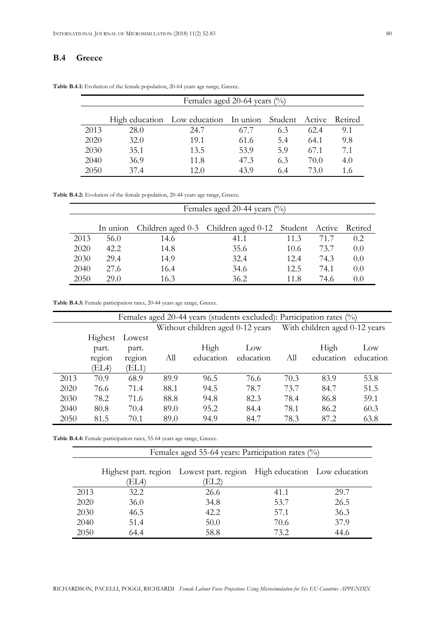## **B.4 Greece**

|      | Females aged 20-64 years $\binom{0}{0}$ |                                                              |      |     |      |     |  |  |  |
|------|-----------------------------------------|--------------------------------------------------------------|------|-----|------|-----|--|--|--|
|      |                                         | High education Low education In union Student Active Retired |      |     |      |     |  |  |  |
| 2013 | 28.0                                    | 24.7                                                         | 677  | 6.3 | 62.4 | 9.1 |  |  |  |
| 2020 | 32.0                                    | 19.1                                                         | 61.6 | 5.4 | 64.1 | 9.8 |  |  |  |
| 2030 | 35.1                                    | 13.5                                                         | 53.9 | 5.9 | 67.1 | 7.1 |  |  |  |
| 2040 | 36.9                                    | 11.8                                                         | 47.3 | 6.3 | 70.0 | 4.0 |  |  |  |
| 2050 | 37.4                                    | 12 0                                                         | 43 9 | 6.4 | 73.0 | 1.6 |  |  |  |

**Table B.4.1:** Evolution of the female population, 20-64 years age range, Greece.

**Table B.4.2:** Evolution of the female population, 20-44 years age range, Greece.

|      | Females aged 20-44 years (%) |      |                                                     |      |      |         |  |  |  |
|------|------------------------------|------|-----------------------------------------------------|------|------|---------|--|--|--|
|      | In union                     |      | Children aged 0-3 Children aged 0-12 Student Active |      |      | Retired |  |  |  |
| 2013 | 56.0                         | 14.6 | 41.1                                                | 113  | 71.7 | 0.2.    |  |  |  |
| 2020 | 42.2.                        | 14.8 | 35.6                                                | 10.6 | 73.7 | 0.0     |  |  |  |
| 2030 | 29.4                         | 14.9 | 32.4                                                | 12.4 | 74.3 | 0.0     |  |  |  |
| 2040 | 27.6                         | 16.4 | 34.6                                                | 12.5 | 74.1 | 0.0     |  |  |  |
| 2050 | 29 O                         | 16.3 | 36.2                                                | 11 8 | 74.6 | (0.0)   |  |  |  |

**Table B.4.3:** Female participation rates, 20-44 years age range, Greece.

|      | Females aged 20-44 years (students excluded): Participation rates (%) |        |      |           |           |      |           |           |
|------|-----------------------------------------------------------------------|--------|------|-----------|-----------|------|-----------|-----------|
|      |                                                                       |        |      |           |           |      |           |           |
|      | Highest                                                               | Lowest |      |           |           |      |           |           |
|      | part.                                                                 | part.  |      | High      | Low       |      | High      | Low       |
|      | region                                                                | region | All  | education | education | All  | education | education |
|      | (EL4)                                                                 | (EL1)  |      |           |           |      |           |           |
| 2013 | 70.9                                                                  | 68.9   | 89.9 | 96.5      | 76.6      | 70.3 | 83.9      | 53.8      |
| 2020 | 76.6                                                                  | 71.4   | 88.1 | 94.5      | 78.7      | 73.7 | 84.7      | 51.5      |
| 2030 | 78.2                                                                  | 71.6   | 88.8 | 94.8      | 82.3      | 78.4 | 86.8      | 59.1      |
| 2040 | 80.8                                                                  | 70.4   | 89.0 | 95.2      | 84.4      | 78.1 | 86.2      | 60.3      |
| 2050 | 81.5                                                                  | 70.1   | 89.0 | 94.9      | 84.7      | 78.3 | 87.2      | 63.8      |

**Table B.4.4:** Female participation rates, 55-64 years age range, Greece.

|      | Females aged 55-64 years: Participation rates $(\%)$ |                                                                               |      |      |  |  |  |  |
|------|------------------------------------------------------|-------------------------------------------------------------------------------|------|------|--|--|--|--|
|      | EL4)                                                 | Highest part. region Lowest part. region High education Low education<br>EL2) |      |      |  |  |  |  |
| 2013 | 32.2                                                 | 26.6                                                                          | 41.1 | 29.7 |  |  |  |  |
| 2020 | 36.0                                                 | 34.8                                                                          | 53.7 | 26.5 |  |  |  |  |
| 2030 | 46.5                                                 | 42.2                                                                          | 57.1 | 36.3 |  |  |  |  |
| 2040 | 51.4                                                 | 50.0                                                                          | 70.6 | 37.9 |  |  |  |  |
| 2050 | 64.4                                                 | 58.8                                                                          | 73.2 | 44.6 |  |  |  |  |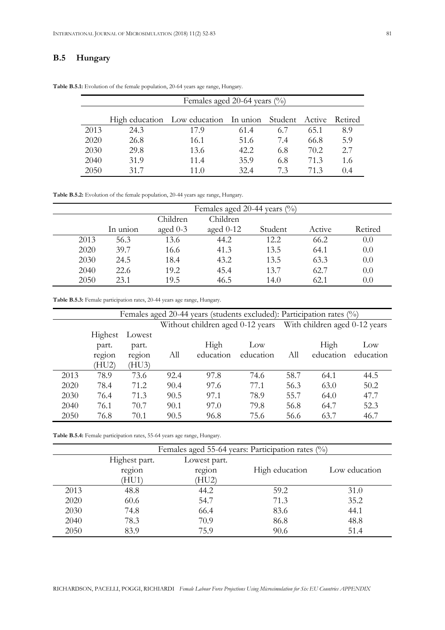## **B.5 Hungary**

|      | Females aged 20-64 years $\binom{0}{0}$ |                                                      |      |     |      |                |  |  |
|------|-----------------------------------------|------------------------------------------------------|------|-----|------|----------------|--|--|
|      |                                         | High education Low education In union Student Active |      |     |      | <b>Retired</b> |  |  |
| 2013 | 24.3                                    | 17 9                                                 | 61.4 | 6.7 | 65.1 | 8.9            |  |  |
| 2020 | 26.8                                    | 16.1                                                 | 51.6 | 7.4 | 66.8 | 5.9            |  |  |
| 2030 | 29.8                                    | 13.6                                                 | 42.2 | 6.8 | 70.2 | 2.7            |  |  |
| 2040 | 31.9                                    | 11.4                                                 | 35.9 | 6.8 | 71.3 | 1.6            |  |  |
| 2050 | 31 7                                    | 11 ()                                                | 32.4 | 73  | 71 3 | 04             |  |  |

**Table B.5.1:** Evolution of the female population, 20-64 years age range, Hungary.

**Table B.5.2:** Evolution of the female population, 20-44 years age range, Hungary.

|      | Females aged 20-44 years $\binom{0}{0}$ |            |             |         |        |         |  |  |  |
|------|-----------------------------------------|------------|-------------|---------|--------|---------|--|--|--|
|      | Children<br>Children                    |            |             |         |        |         |  |  |  |
|      | In union                                | aged $0-3$ | aged $0-12$ | Student | Active | Retired |  |  |  |
| 2013 | 56.3                                    | 13.6       | 44.2        | 12.2    | 66.2   | 0.0     |  |  |  |
| 2020 | 39.7                                    | 16.6       | 41.3        | 13.5    | 64.1   | 0.0     |  |  |  |
| 2030 | 24.5                                    | 18.4       | 43.2        | 13.5    | 63.3   | 0.0     |  |  |  |
| 2040 | 22.6                                    | 19.2       | 45.4        | 13.7    | 62.7   | 0.0     |  |  |  |
| 2050 | 23.1                                    | 19.5       | 46.5        | 14.0    | 62.1   | 0.0     |  |  |  |

| Table B.5.3: Female participation rates, 20-44 years age range, Hungary. |  |  |
|--------------------------------------------------------------------------|--|--|
|--------------------------------------------------------------------------|--|--|

|      | Females aged 20-44 years (students excluded): Participation rates (%) |        |      |           |           |      |           |           |
|------|-----------------------------------------------------------------------|--------|------|-----------|-----------|------|-----------|-----------|
|      |                                                                       |        |      |           |           |      |           |           |
|      | Highest                                                               | Lowest |      |           |           |      |           |           |
|      | part.                                                                 | part.  |      | High      | Low       |      | High      | Low       |
|      | region                                                                | region | All  | education | education | All  | education | education |
|      | HU2)                                                                  | (HU3)  |      |           |           |      |           |           |
| 2013 | 78.9                                                                  | 73.6   | 92.4 | 97.8      | 74.6      | 58.7 | 64.1      | 44.5      |
| 2020 | 78.4                                                                  | 71.2   | 90.4 | 97.6      | 77.1      | 56.3 | 63.0      | 50.2      |
| 2030 | 76.4                                                                  | 71.3   | 90.5 | 97.1      | 78.9      | 55.7 | 64.0      | 47.7      |
| 2040 | 76.1                                                                  | 70.7   | 90.1 | 97.0      | 79.8      | 56.8 | 64.7      | 52.3      |
| 2050 | 76.8                                                                  | 70.1   | 90.5 | 96.8      | 75.6      | 56.6 | 63.7      | 46.7      |

**Table B.5.4:** Female participation rates, 55-64 years age range, Hungary.

|      | Females aged 55-64 years: Participation rates $(\%)$ |              |                |               |  |  |
|------|------------------------------------------------------|--------------|----------------|---------------|--|--|
|      | Highest part.                                        | Lowest part. |                |               |  |  |
|      | region                                               | region       | High education | Low education |  |  |
|      | HU1)                                                 | (HU2)        |                |               |  |  |
| 2013 | 48.8                                                 | 44.2         | 59.2           | 31.0          |  |  |
| 2020 | 60.6                                                 | 54.7         | 71.3           | 35.2          |  |  |
| 2030 | 74.8                                                 | 66.4         | 83.6           | 44.1          |  |  |
| 2040 | 78.3                                                 | 70.9         | 86.8           | 48.8          |  |  |
| 2050 | 83.9                                                 | 75.9         | 90.6           | 51.4          |  |  |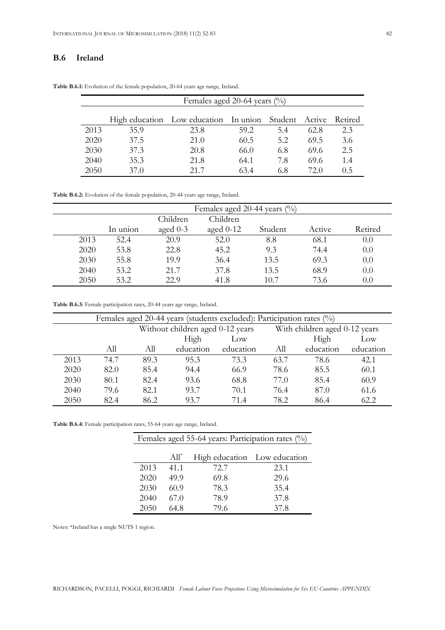## **B.6 Ireland**

|      | Females aged 20-64 years (%) |                                                      |      |     |      |         |
|------|------------------------------|------------------------------------------------------|------|-----|------|---------|
|      |                              | High education Low education In union Student Active |      |     |      | Retired |
| 2013 | 35.9                         | 23.8                                                 | 59.2 | 5.4 | 62.8 | 2.3     |
| 2020 | 37.5                         | 21.0                                                 | 60.5 | 5.2 | 69.5 | 3.6     |
| 2030 | 37.3                         | 20.8                                                 | 66.0 | 6.8 | 69.6 | 2.5     |
| 2040 | 35.3                         | 21.8                                                 | 64.1 | 7.8 | 69.6 | 1.4     |
| 2050 | 37.0                         | 21 7                                                 | 634  | 6.8 | 72 O | 0.5     |

**Table B.6.1:** Evolution of the female population, 20-64 years age range, Ireland.

**Table B.6.2:** Evolution of the female population, 20-44 years age range, Ireland.

|      | Females aged 20-44 years (%) |            |             |         |        |         |  |
|------|------------------------------|------------|-------------|---------|--------|---------|--|
|      |                              | Children   | Children    |         |        |         |  |
|      | In union                     | aged $0-3$ | aged $0-12$ | Student | Active | Retired |  |
| 2013 | 52.4                         | 20.9       | 52.0        | 8.8     | 68.1   | 0.0     |  |
| 2020 | 53.8                         | 22.8       | 45.2        | 9.3     | 74.4   | 0.0     |  |
| 2030 | 55.8                         | 19.9       | 36.4        | 13.5    | 69.3   | 0.0     |  |
| 2040 | 53.2                         | 21.7       | 37.8        | 13.5    | 68.9   | 0.0     |  |
| 2050 | 53.2                         | 22.9       | 41.8        | 10.7    | 73.6   | $0.0\,$ |  |

**Table B.6.3:** Female participation rates, 20-44 years age range, Ireland.

| Females aged 20-44 years (students excluded): Participation rates (%) |      |      |                                  |                 |      |                               |           |
|-----------------------------------------------------------------------|------|------|----------------------------------|-----------------|------|-------------------------------|-----------|
|                                                                       |      |      | Without children aged 0-12 years |                 |      | With children aged 0-12 years |           |
|                                                                       |      |      | High                             | $_{\text{Low}}$ |      | High                          | Low       |
|                                                                       | Аll  | All  | education                        | education       | All  | education                     | education |
| 2013                                                                  | 74.7 | 89.3 | 95.3                             | 73.3            | 63.7 | 78.6                          | 42.1      |
| 2020                                                                  | 82.0 | 85.4 | 94.4                             | 66.9            | 78.6 | 85.5                          | 60.1      |
| 2030                                                                  | 80.1 | 82.4 | 93.6                             | 68.8            | 77.0 | 85.4                          | 60.9      |
| 2040                                                                  | 79.6 | 82.1 | 93.7                             | 70.1            | 76.4 | 87.0                          | 61.6      |
| 2050                                                                  | 82.4 | 86.2 | 93.7                             | 71.4            | 78.2 | 86.4                          | 62.2      |

**Table B.6.4:** Female participation rates, 55-64 years age range, Ireland.

| Females aged 55-64 years: Participation rates (%) |         |                              |      |  |  |  |
|---------------------------------------------------|---------|------------------------------|------|--|--|--|
|                                                   |         |                              |      |  |  |  |
|                                                   | $All^*$ | High education Low education |      |  |  |  |
| 2013                                              | 41.1    | 72.7                         | 23.1 |  |  |  |
| 2020                                              | 49.9    | 69.8                         | 29.6 |  |  |  |
| 2030                                              | 60.9    | 78.3                         | 35.4 |  |  |  |
| 2040                                              | 67.0    | 78.9                         | 37.8 |  |  |  |
| 2050                                              | 64 8    | 79.6                         | 37.8 |  |  |  |

Notes: \*Ireland has a single NUTS 1 region.